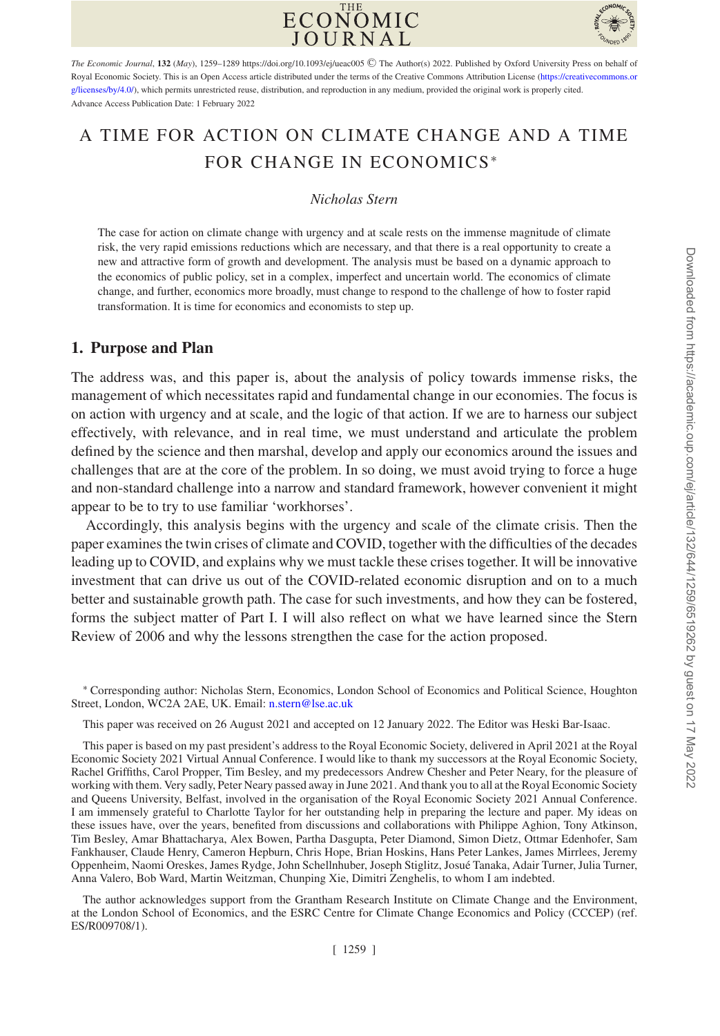



The Economic Journal, **132** (May), 1259–1289 https://doi.org/10.1093/ej/ueac005 © The Author(s) 2022. Published by Oxford University Press on behalf of [Royal Economic Society. This is an Open Access article distributed under the terms of the Creative Commons Attribution License \(https://creativecommons.or](https://creativecommons.org/licenses/by/4.0/) g/licenses/by/4.0/), which permits unrestricted reuse, distribution, and reproduction in any medium, provided the original work is properly cited. Advance Access Publication Date: 1 February 2022

# A TIME FOR ACTION ON CLIMATE CHANGE AND A TIME FOR CHANGE IN ECONOMICS<sup>∗</sup>

#### *Nicholas Stern*

The case for action on climate change with urgency and at scale rests on the immense magnitude of climate risk, the very rapid emissions reductions which are necessary, and that there is a real opportunity to create a new and attractive form of growth and development. The analysis must be based on a dynamic approach to the economics of public policy, set in a complex, imperfect and uncertain world. The economics of climate change, and further, economics more broadly, must change to respond to the challenge of how to foster rapid transformation. It is time for economics and economists to step up.

## **1. Purpose and Plan**

The address was, and this paper is, about the analysis of policy towards immense risks, the management of which necessitates rapid and fundamental change in our economies. The focus is on action with urgency and at scale, and the logic of that action. If we are to harness our subject effectively, with relevance, and in real time, we must understand and articulate the problem defined by the science and then marshal, develop and apply our economics around the issues and challenges that are at the core of the problem. In so doing, we must avoid trying to force a huge and non-standard challenge into a narrow and standard framework, however convenient it might appear to be to try to use familiar 'workhorses'.

Accordingly, this analysis begins with the urgency and scale of the climate crisis. Then the paper examines the twin crises of climate and COVID, together with the difficulties of the decades leading up to COVID, and explains why we must tackle these crises together. It will be innovative investment that can drive us out of the COVID-related economic disruption and on to a much better and sustainable growth path. The case for such investments, and how they can be fostered, forms the subject matter of Part I. I will also reflect on what we have learned since the Stern Review of 2006 and why the lessons strengthen the case for the action proposed.

∗ Corresponding author: Nicholas Stern, Economics, London School of Economics and Political Science, Houghton Street, London, WC2A 2AE, UK. Email: [n.stern@lse.ac.uk](mailto:n.stern@lse.ac.uk)

This paper was received on 26 August 2021 and accepted on 12 January 2022. The Editor was Heski Bar-Isaac.

This paper is based on my past president's address to the Royal Economic Society, delivered in April 2021 at the Royal Economic Society 2021 Virtual Annual Conference. I would like to thank my successors at the Royal Economic Society, Rachel Griffiths, Carol Propper, Tim Besley, and my predecessors Andrew Chesher and Peter Neary, for the pleasure of working with them. Very sadly, Peter Neary passed away in June 2021. And thank you to all at the Royal Economic Society and Queens University, Belfast, involved in the organisation of the Royal Economic Society 2021 Annual Conference. I am immensely grateful to Charlotte Taylor for her outstanding help in preparing the lecture and paper. My ideas on these issues have, over the years, benefited from discussions and collaborations with Philippe Aghion, Tony Atkinson, Tim Besley, Amar Bhattacharya, Alex Bowen, Partha Dasgupta, Peter Diamond, Simon Dietz, Ottmar Edenhofer, Sam Fankhauser, Claude Henry, Cameron Hepburn, Chris Hope, Brian Hoskins, Hans Peter Lankes, James Mirrlees, Jeremy Oppenheim, Naomi Oreskes, James Rydge, John Schellnhuber, Joseph Stiglitz, Josue Tanaka, Adair Turner, Julia Turner, ´ Anna Valero, Bob Ward, Martin Weitzman, Chunping Xie, Dimitri Zenghelis, to whom I am indebted.

The author acknowledges support from the Grantham Research Institute on Climate Change and the Environment, at the London School of Economics, and the ESRC Centre for Climate Change Economics and Policy (CCCEP) (ref. ES/R009708/1).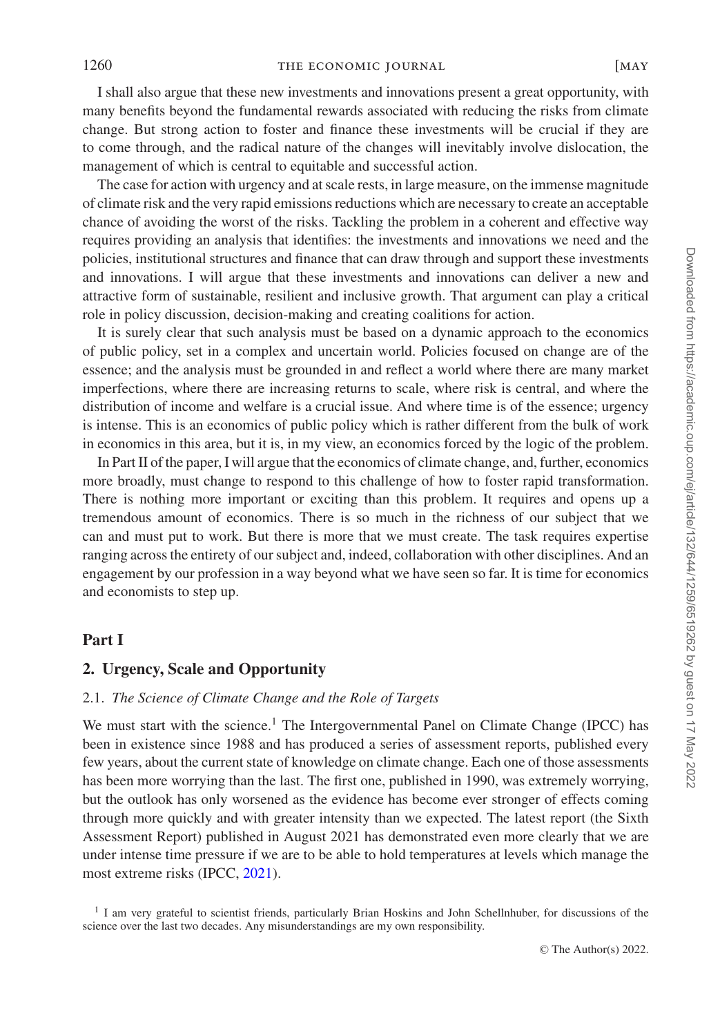I shall also argue that these new investments and innovations present a great opportunity, with many benefits beyond the fundamental rewards associated with reducing the risks from climate change. But strong action to foster and finance these investments will be crucial if they are to come through, and the radical nature of the changes will inevitably involve dislocation, the management of which is central to equitable and successful action.

The case for action with urgency and at scale rests, in large measure, on the immense magnitude of climate risk and the very rapid emissions reductions which are necessary to create an acceptable chance of avoiding the worst of the risks. Tackling the problem in a coherent and effective way requires providing an analysis that identifies: the investments and innovations we need and the policies, institutional structures and finance that can draw through and support these investments and innovations. I will argue that these investments and innovations can deliver a new and attractive form of sustainable, resilient and inclusive growth. That argument can play a critical role in policy discussion, decision-making and creating coalitions for action.

It is surely clear that such analysis must be based on a dynamic approach to the economics of public policy, set in a complex and uncertain world. Policies focused on change are of the essence; and the analysis must be grounded in and reflect a world where there are many market imperfections, where there are increasing returns to scale, where risk is central, and where the distribution of income and welfare is a crucial issue. And where time is of the essence; urgency is intense. This is an economics of public policy which is rather different from the bulk of work in economics in this area, but it is, in my view, an economics forced by the logic of the problem.

In Part II of the paper, I will argue that the economics of climate change, and, further, economics more broadly, must change to respond to this challenge of how to foster rapid transformation. There is nothing more important or exciting than this problem. It requires and opens up a tremendous amount of economics. There is so much in the richness of our subject that we can and must put to work. But there is more that we must create. The task requires expertise ranging across the entirety of our subject and, indeed, collaboration with other disciplines. And an engagement by our profession in a way beyond what we have seen so far. It is time for economics and economists to step up.

## **Part I**

## **2. Urgency, Scale and Opportunity**

#### <span id="page-1-0"></span>2.1. *The Science of Climate Change and the Role of Targets*

<span id="page-1-1"></span>We must start with the science.<sup>1</sup> The Intergovernmental Panel on Climate Change (IPCC) has been in existence since 1988 and has produced a series of assessment reports, published every few years, about the current state of knowledge on climate change. Each one of those assessments has been more worrying than the last. The first one, published in 1990, was extremely worrying, but the outlook has only worsened as the evidence has become ever stronger of effects coming through more quickly and with greater intensity than we expected. The latest report (the Sixth Assessment Report) published in August 2021 has demonstrated even more clearly that we are under intense time pressure if we are to be able to hold temperatures at levels which manage the most extreme risks (IPCC, [2021\)](#page-28-0).

<sup>1</sup> I am very grateful to scientist friends, particularly Brian Hoskins and John Schellnhuber, for discussions of the science over the last two decades. Any misunderstandings are my own responsibility.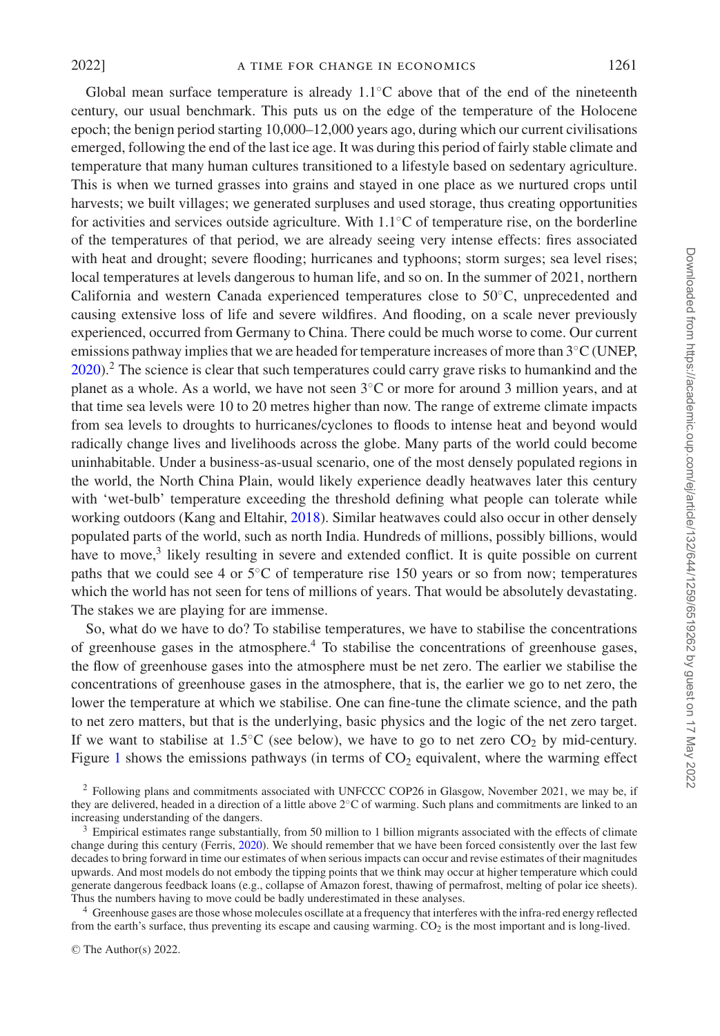Global mean surface temperature is already  $1.1^\circ$ C above that of the end of the nineteenth century, our usual benchmark. This puts us on the edge of the temperature of the Holocene epoch; the benign period starting 10,000–12,000 years ago, during which our current civilisations emerged, following the end of the last ice age. It was during this period of fairly stable climate and temperature that many human cultures transitioned to a lifestyle based on sedentary agriculture. This is when we turned grasses into grains and stayed in one place as we nurtured crops until harvests; we built villages; we generated surpluses and used storage, thus creating opportunities for activities and services outside agriculture. With 1.1◦C of temperature rise, on the borderline of the temperatures of that period, we are already seeing very intense effects: fires associated with heat and drought; severe flooding; hurricanes and typhoons; storm surges; sea level rises; local temperatures at levels dangerous to human life, and so on. In the summer of 2021, northern California and western Canada experienced temperatures close to 50◦C, unprecedented and causing extensive loss of life and severe wildfires. And flooding, on a scale never previously experienced, occurred from Germany to China. There could be much worse to come. Our current emissions pathway implies that we are headed for temperature increases of more than 3◦C (UNEP, [2020\)](#page-29-0).<sup>2</sup> The science is clear that such temperatures could carry grave risks to humankind and the planet as a whole. As a world, we have not seen 3◦C or more for around 3 million years, and at that time sea levels were 10 to 20 metres higher than now. The range of extreme climate impacts from sea levels to droughts to hurricanes/cyclones to floods to intense heat and beyond would radically change lives and livelihoods across the globe. Many parts of the world could become uninhabitable. Under a business-as-usual scenario, one of the most densely populated regions in the world, the North China Plain, would likely experience deadly heatwaves later this century with 'wet-bulb' temperature exceeding the threshold defining what people can tolerate while working outdoors (Kang and Eltahir, [2018\)](#page-28-1). Similar heatwaves could also occur in other densely populated parts of the world, such as north India. Hundreds of millions, possibly billions, would have to move,<sup>3</sup> likely resulting in severe and extended conflict. It is quite possible on current paths that we could see 4 or  $5°C$  of temperature rise 150 years or so from now; temperatures which the world has not seen for tens of millions of years. That would be absolutely devastating. The stakes we are playing for are immense.

So, what do we have to do? To stabilise temperatures, we have to stabilise the concentrations of greenhouse gases in the atmosphere.<sup>4</sup> To stabilise the concentrations of greenhouse gases, the flow of greenhouse gases into the atmosphere must be net zero. The earlier we stabilise the concentrations of greenhouse gases in the atmosphere, that is, the earlier we go to net zero, the lower the temperature at which we stabilise. One can fine-tune the climate science, and the path to net zero matters, but that is the underlying, basic physics and the logic of the net zero target. If we want to stabilise at 1.5℃ (see below), we have to go to net zero  $CO<sub>2</sub>$  by mid-century. Figure [1](#page-3-0) shows the emissions pathways (in terms of  $CO<sub>2</sub>$  equivalent, where the warming effect

© The Author(s) 2022.

<sup>2</sup> Following plans and commitments associated with UNFCCC COP26 in Glasgow, November 2021, we may be, if they are delivered, headed in a direction of a little above 2◦C of warming. Such plans and commitments are linked to an increasing understanding of the dangers.

 $3$  Empirical estimates range substantially, from 50 million to 1 billion migrants associated with the effects of climate change during this century (Ferris, [2020\)](#page-27-0). We should remember that we have been forced consistently over the last few decades to bring forward in time our estimates of when serious impacts can occur and revise estimates of their magnitudes upwards. And most models do not embody the tipping points that we think may occur at higher temperature which could generate dangerous feedback loans (e.g., collapse of Amazon forest, thawing of permafrost, melting of polar ice sheets). Thus the numbers having to move could be badly underestimated in these analyses.

<sup>4</sup> Greenhouse gases are those whose molecules oscillate at a frequency that interferes with the infra-red energy reflected from the earth's surface, thus preventing its escape and causing warming. CO<sub>2</sub> is the most important and is long-lived.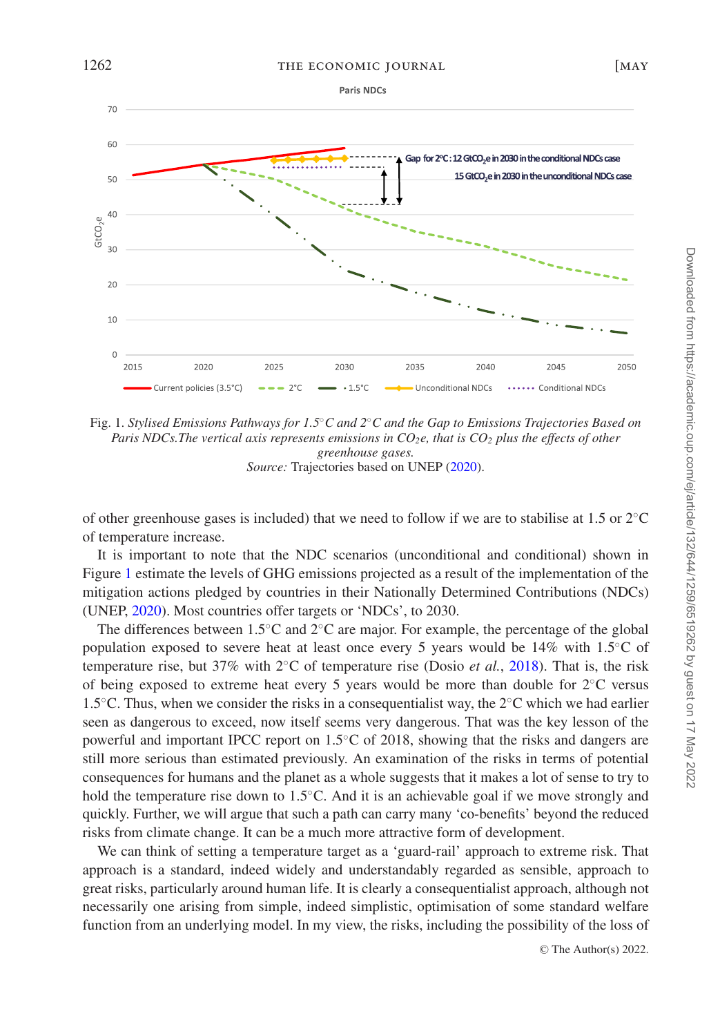<span id="page-3-0"></span>

Fig. 1. *Stylised Emissions Pathways for 1.5*◦*C and 2*◦*C and the Gap to Emissions Trajectories Based on Paris NDCs. The vertical axis represents emissions in CO<sub>2</sub>e, that is CO<sub>2</sub> <i>plus the effects of other greenhouse gases. Source:* Trajectories based on UNEP [\(2020\)](#page-29-0).

of other greenhouse gases is included) that we need to follow if we are to stabilise at 1.5 or 2◦C of temperature increase.

It is important to note that the NDC scenarios (unconditional and conditional) shown in Figure [1](#page-3-0) estimate the levels of GHG emissions projected as a result of the implementation of the mitigation actions pledged by countries in their Nationally Determined Contributions (NDCs) (UNEP, [2020\)](#page-29-0). Most countries offer targets or 'NDCs', to 2030.

The differences between 1.5◦C and 2◦C are major. For example, the percentage of the global population exposed to severe heat at least once every 5 years would be 14% with 1.5◦C of temperature rise, but 37% with 2◦C of temperature rise (Dosio *et al.*, [2018\)](#page-27-1). That is, the risk of being exposed to extreme heat every 5 years would be more than double for  $2<sup>o</sup>C versus$ 1.5◦C. Thus, when we consider the risks in a consequentialist way, the 2◦C which we had earlier seen as dangerous to exceed, now itself seems very dangerous. That was the key lesson of the powerful and important IPCC report on 1.5◦C of 2018, showing that the risks and dangers are still more serious than estimated previously. An examination of the risks in terms of potential consequences for humans and the planet as a whole suggests that it makes a lot of sense to try to hold the temperature rise down to 1.5◦C. And it is an achievable goal if we move strongly and quickly. Further, we will argue that such a path can carry many 'co-benefits' beyond the reduced risks from climate change. It can be a much more attractive form of development.

We can think of setting a temperature target as a 'guard-rail' approach to extreme risk. That approach is a standard, indeed widely and understandably regarded as sensible, approach to great risks, particularly around human life. It is clearly a consequentialist approach, although not necessarily one arising from simple, indeed simplistic, optimisation of some standard welfare function from an underlying model. In my view, the risks, including the possibility of the loss of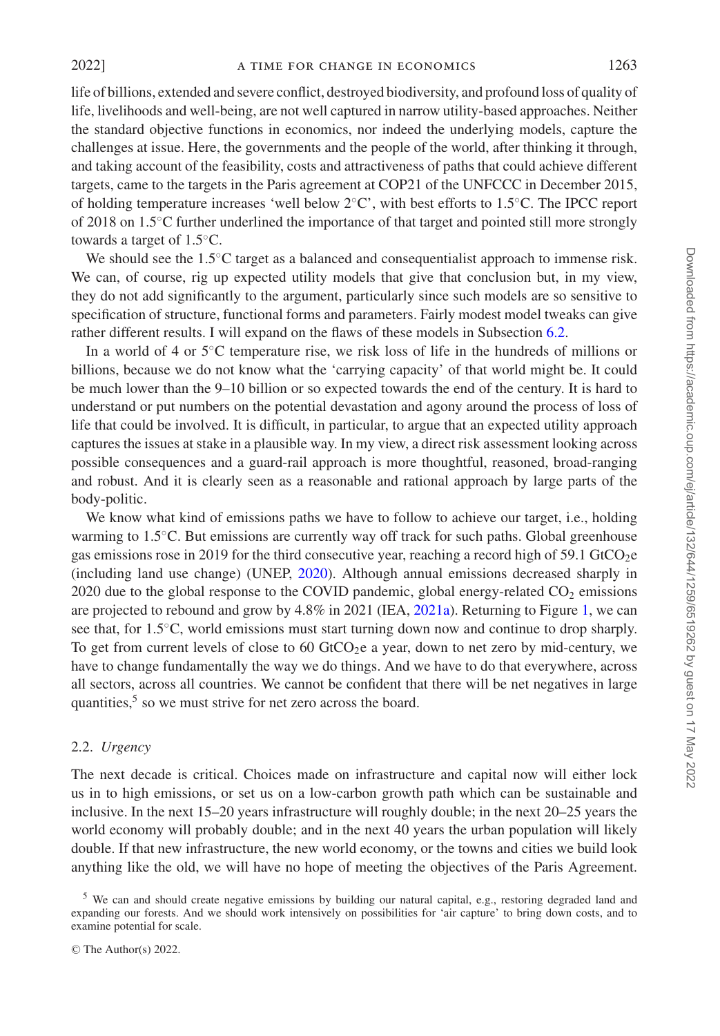life of billions, extended and severe conflict, destroyed biodiversity, and profound loss of quality of life, livelihoods and well-being, are not well captured in narrow utility-based approaches. Neither the standard objective functions in economics, nor indeed the underlying models, capture the challenges at issue. Here, the governments and the people of the world, after thinking it through, and taking account of the feasibility, costs and attractiveness of paths that could achieve different targets, came to the targets in the Paris agreement at COP21 of the UNFCCC in December 2015, of holding temperature increases 'well below 2◦C', with best efforts to 1.5◦C. The IPCC report of 2018 on 1.5◦C further underlined the importance of that target and pointed still more strongly towards a target of 1.5◦C.

We should see the 1.5<sup>○</sup>C target as a balanced and consequentialist approach to immense risk. We can, of course, rig up expected utility models that give that conclusion but, in my view, they do not add significantly to the argument, particularly since such models are so sensitive to specification of structure, functional forms and parameters. Fairly modest model tweaks can give rather different results. I will expand on the flaws of these models in Subsection [6.2.](#page-15-0)

In a world of 4 or 5◦C temperature rise, we risk loss of life in the hundreds of millions or billions, because we do not know what the 'carrying capacity' of that world might be. It could be much lower than the 9–10 billion or so expected towards the end of the century. It is hard to understand or put numbers on the potential devastation and agony around the process of loss of life that could be involved. It is difficult, in particular, to argue that an expected utility approach captures the issues at stake in a plausible way. In my view, a direct risk assessment looking across possible consequences and a guard-rail approach is more thoughtful, reasoned, broad-ranging and robust. And it is clearly seen as a reasonable and rational approach by large parts of the body-politic.

We know what kind of emissions paths we have to follow to achieve our target, i.e., holding warming to 1.5℃. But emissions are currently way off track for such paths. Global greenhouse gas emissions rose in 2019 for the third consecutive year, reaching a record high of 59.1 GtCO<sub>2</sub>e (including land use change) (UNEP, [2020\)](#page-29-0). Although annual emissions decreased sharply in 2020 due to the global response to the COVID pandemic, global energy-related  $CO<sub>2</sub>$  emissions are projected to rebound and grow by 4.8% in 2021 (IEA, [2021a\)](#page-28-2). Returning to Figure [1,](#page-3-0) we can see that, for 1.5<sup>°</sup>C, world emissions must start turning down now and continue to drop sharply. To get from current levels of close to  $60$  GtCO<sub>2</sub>e a year, down to net zero by mid-century, we have to change fundamentally the way we do things. And we have to do that everywhere, across all sectors, across all countries. We cannot be confident that there will be net negatives in large quantities,<sup>5</sup> so we must strive for net zero across the board.

#### 2.2. *Urgency*

The next decade is critical. Choices made on infrastructure and capital now will either lock us in to high emissions, or set us on a low-carbon growth path which can be sustainable and inclusive. In the next 15–20 years infrastructure will roughly double; in the next 20–25 years the world economy will probably double; and in the next 40 years the urban population will likely double. If that new infrastructure, the new world economy, or the towns and cities we build look anything like the old, we will have no hope of meeting the objectives of the Paris Agreement.

<sup>&</sup>lt;sup>5</sup> We can and should create negative emissions by building our natural capital, e.g., restoring degraded land and expanding our forests. And we should work intensively on possibilities for 'air capture' to bring down costs, and to examine potential for scale.

<sup>©</sup> The Author(s) 2022.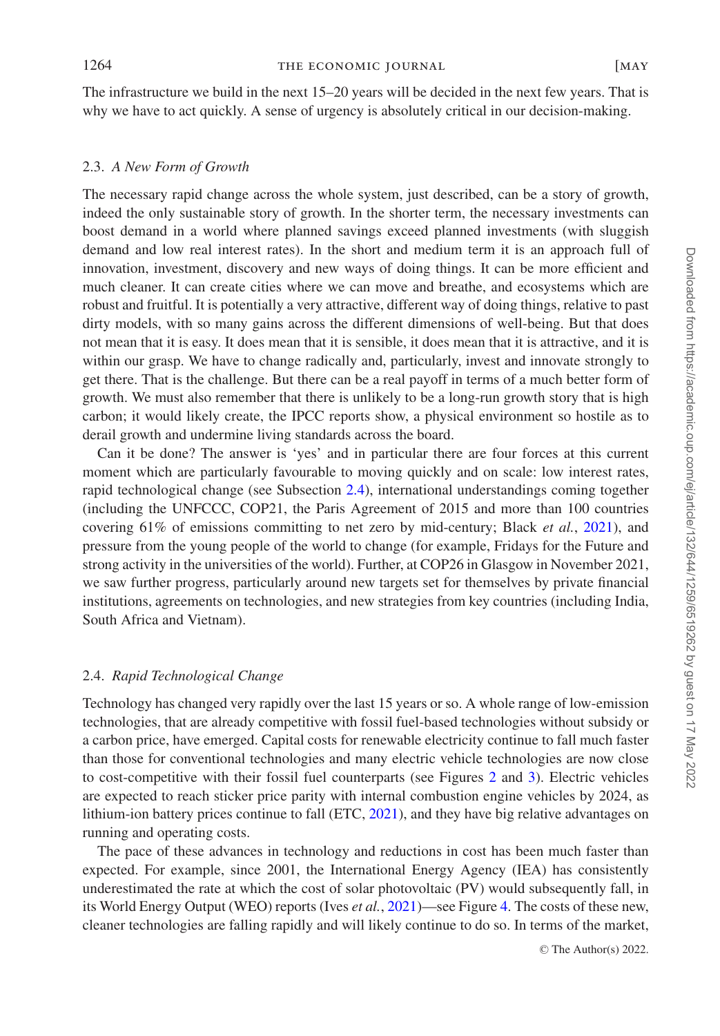The infrastructure we build in the next 15–20 years will be decided in the next few years. That is why we have to act quickly. A sense of urgency is absolutely critical in our decision-making.

#### 2.3. *A New Form of Growth*

The necessary rapid change across the whole system, just described, can be a story of growth, indeed the only sustainable story of growth. In the shorter term, the necessary investments can boost demand in a world where planned savings exceed planned investments (with sluggish demand and low real interest rates). In the short and medium term it is an approach full of innovation, investment, discovery and new ways of doing things. It can be more efficient and much cleaner. It can create cities where we can move and breathe, and ecosystems which are robust and fruitful. It is potentially a very attractive, different way of doing things, relative to past dirty models, with so many gains across the different dimensions of well-being. But that does not mean that it is easy. It does mean that it is sensible, it does mean that it is attractive, and it is within our grasp. We have to change radically and, particularly, invest and innovate strongly to get there. That is the challenge. But there can be a real payoff in terms of a much better form of growth. We must also remember that there is unlikely to be a long-run growth story that is high carbon; it would likely create, the IPCC reports show, a physical environment so hostile as to derail growth and undermine living standards across the board.

Can it be done? The answer is 'yes' and in particular there are four forces at this current moment which are particularly favourable to moving quickly and on scale: low interest rates, rapid technological change (see Subsection [2.4\)](#page-5-0), international understandings coming together (including the UNFCCC, COP21, the Paris Agreement of 2015 and more than 100 countries covering 61% of emissions committing to net zero by mid-century; Black *et al.*, [2021\)](#page-27-2), and pressure from the young people of the world to change (for example, Fridays for the Future and strong activity in the universities of the world). Further, at COP26 in Glasgow in November 2021, we saw further progress, particularly around new targets set for themselves by private financial institutions, agreements on technologies, and new strategies from key countries (including India, South Africa and Vietnam).

#### 2.4. *Rapid Technological Change*

<span id="page-5-0"></span>Technology has changed very rapidly over the last 15 years or so. A whole range of low-emission technologies, that are already competitive with fossil fuel-based technologies without subsidy or a carbon price, have emerged. Capital costs for renewable electricity continue to fall much faster than those for conventional technologies and many electric vehicle technologies are now close to cost-competitive with their fossil fuel counterparts (see Figures [2](#page-6-0) and [3\)](#page-6-1). Electric vehicles are expected to reach sticker price parity with internal combustion engine vehicles by 2024, as lithium-ion battery prices continue to fall (ETC, [2021\)](#page-27-3), and they have big relative advantages on running and operating costs.

The pace of these advances in technology and reductions in cost has been much faster than expected. For example, since 2001, the International Energy Agency (IEA) has consistently underestimated the rate at which the cost of solar photovoltaic (PV) would subsequently fall, in its World Energy Output (WEO) reports (Ives *et al.*, [2021\)](#page-28-3)—see Figure [4.](#page-7-0) The costs of these new, cleaner technologies are falling rapidly and will likely continue to do so. In terms of the market,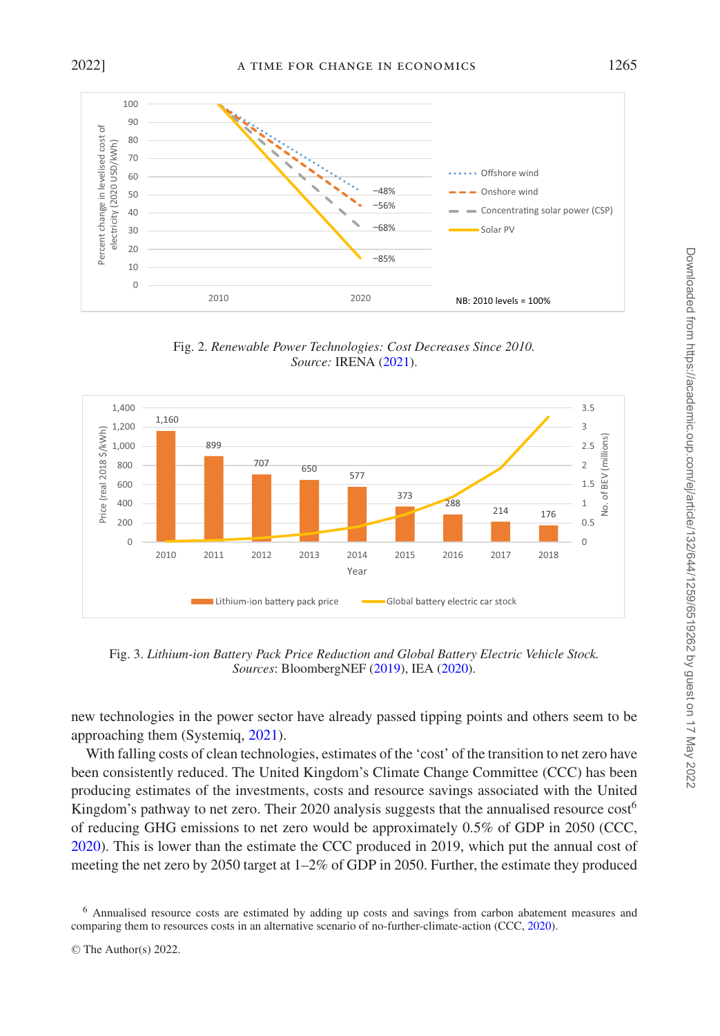<span id="page-6-0"></span>

Fig. 2. *Renewable Power Technologies: Cost Decreases Since 2010. Source:* IRENA [\(2021\)](#page-28-4).

<span id="page-6-1"></span>

Fig. 3. *Lithium-ion Battery Pack Price Reduction and Global Battery Electric Vehicle Stock. Sources*: BloombergNEF [\(2019\)](#page-27-4), IEA [\(2020\)](#page-28-5).

new technologies in the power sector have already passed tipping points and others seem to be approaching them (Systemiq, [2021\)](#page-29-1).

With falling costs of clean technologies, estimates of the 'cost' of the transition to net zero have been consistently reduced. The United Kingdom's Climate Change Committee (CCC) has been producing estimates of the investments, costs and resource savings associated with the United Kingdom's pathway to net zero. Their 2020 analysis suggests that the annualised resource  $\cos$ <sup>6</sup> of reducing GHG emissions to net zero would be approximately 0.5% of GDP in 2050 (CCC, [2020\)](#page-27-5). This is lower than the estimate the CCC produced in 2019, which put the annual cost of meeting the net zero by 2050 target at 1–2% of GDP in 2050. Further, the estimate they produced

<sup>6</sup> Annualised resource costs are estimated by adding up costs and savings from carbon abatement measures and comparing them to resources costs in an alternative scenario of no-further-climate-action (CCC, [2020\)](#page-27-5).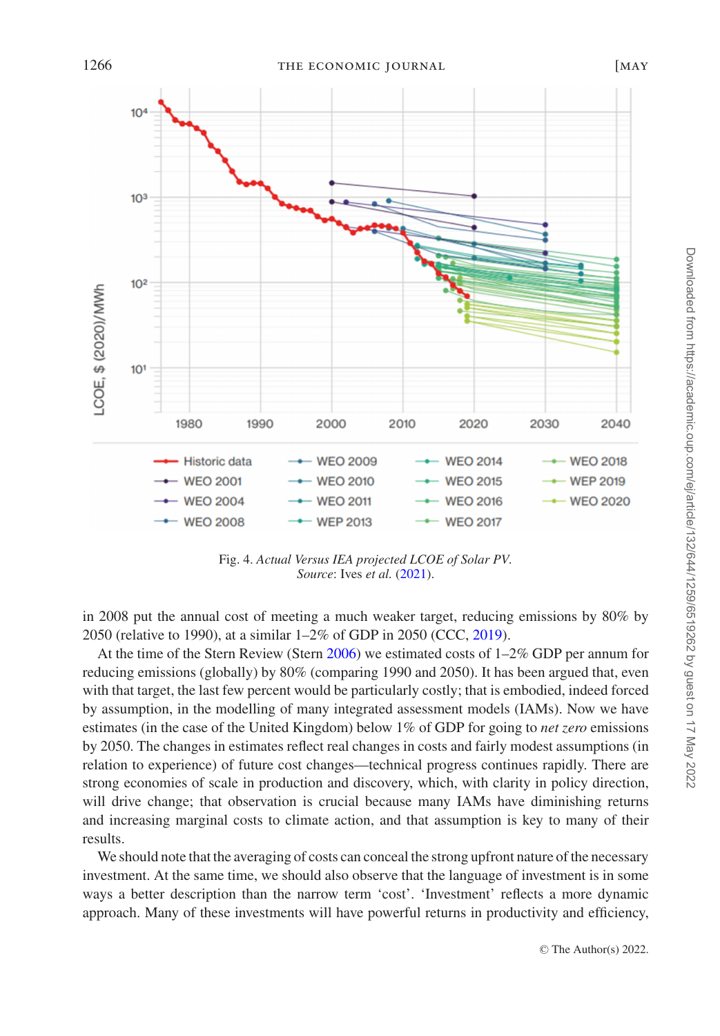<span id="page-7-0"></span>

Fig. 4. *Actual Versus IEA projected LCOE of Solar PV. Source*: Ives *et al.* [\(2021\)](#page-28-3).

in 2008 put the annual cost of meeting a much weaker target, reducing emissions by 80% by 2050 (relative to 1990), at a similar 1–2% of GDP in 2050 (CCC, [2019\)](#page-27-6).

At the time of the Stern Review (Stern [2006\)](#page-29-2) we estimated costs of 1–2% GDP per annum for reducing emissions (globally) by 80% (comparing 1990 and 2050). It has been argued that, even with that target, the last few percent would be particularly costly; that is embodied, indeed forced by assumption, in the modelling of many integrated assessment models (IAMs). Now we have estimates (in the case of the United Kingdom) below 1% of GDP for going to *net zero* emissions by 2050. The changes in estimates reflect real changes in costs and fairly modest assumptions (in relation to experience) of future cost changes—technical progress continues rapidly. There are strong economies of scale in production and discovery, which, with clarity in policy direction, will drive change; that observation is crucial because many IAMs have diminishing returns and increasing marginal costs to climate action, and that assumption is key to many of their results.

We should note that the averaging of costs can conceal the strong upfront nature of the necessary investment. At the same time, we should also observe that the language of investment is in some ways a better description than the narrow term 'cost'. 'Investment' reflects a more dynamic approach. Many of these investments will have powerful returns in productivity and efficiency,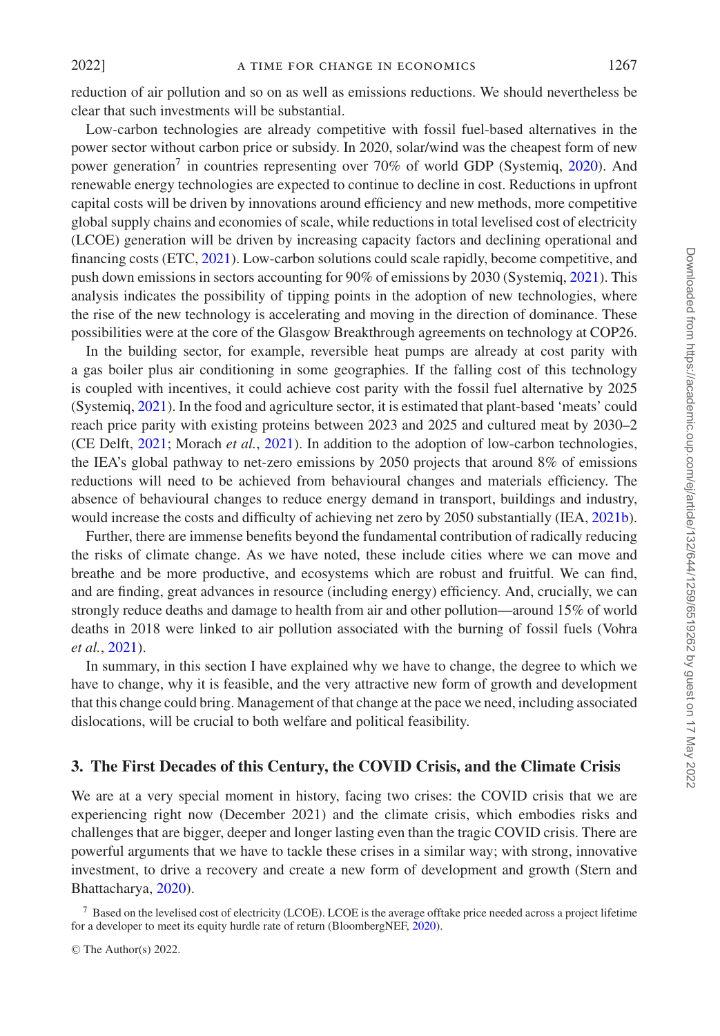reduction of air pollution and so on as well as emissions reductions. We should nevertheless be clear that such investments will be substantial.

Low-carbon technologies are already competitive with fossil fuel-based alternatives in the power sector without carbon price or subsidy. In 2020, solar/wind was the cheapest form of new power generation<sup>7</sup> in countries representing over 70% of world GDP (Systemiq, [2020\)](#page-29-3). And renewable energy technologies are expected to continue to decline in cost. Reductions in upfront capital costs will be driven by innovations around efficiency and new methods, more competitive global supply chains and economies of scale, while reductions in total levelised cost of electricity (LCOE) generation will be driven by increasing capacity factors and declining operational and financing costs (ETC, [2021\)](#page-27-3). Low-carbon solutions could scale rapidly, become competitive, and push down emissions in sectors accounting for 90% of emissions by 2030 (Systemiq, [2021\)](#page-29-1). This analysis indicates the possibility of tipping points in the adoption of new technologies, where the rise of the new technology is accelerating and moving in the direction of dominance. These possibilities were at the core of the Glasgow Breakthrough agreements on technology at COP26.

In the building sector, for example, reversible heat pumps are already at cost parity with a gas boiler plus air conditioning in some geographies. If the falling cost of this technology is coupled with incentives, it could achieve cost parity with the fossil fuel alternative by 2025 (Systemiq, [2021\)](#page-29-1). In the food and agriculture sector, it is estimated that plant-based 'meats' could reach price parity with existing proteins between 2023 and 2025 and cultured meat by 2030–2 (CE Delft, [2021;](#page-27-7) Morach *et al.*, [2021\)](#page-28-6). In addition to the adoption of low-carbon technologies, the IEA's global pathway to net-zero emissions by 2050 projects that around 8% of emissions reductions will need to be achieved from behavioural changes and materials efficiency. The absence of behavioural changes to reduce energy demand in transport, buildings and industry, would increase the costs and difficulty of achieving net zero by 2050 substantially (IEA, [2021b\)](#page-28-7).

Further, there are immense benefits beyond the fundamental contribution of radically reducing the risks of climate change. As we have noted, these include cities where we can move and breathe and be more productive, and ecosystems which are robust and fruitful. We can find, and are finding, great advances in resource (including energy) efficiency. And, crucially, we can strongly reduce deaths and damage to health from air and other pollution—around 15% of world deaths in 2018 were linked to air pollution associated with the burning of fossil fuels (Vohra *et al.*, [2021\)](#page-29-4).

In summary, in this section I have explained why we have to change, the degree to which we have to change, why it is feasible, and the very attractive new form of growth and development that this change could bring. Management of that change at the pace we need, including associated dislocations, will be crucial to both welfare and political feasibility.

## <span id="page-8-0"></span>**3. The First Decades of this Century, the COVID Crisis, and the Climate Crisis**

We are at a very special moment in history, facing two crises: the COVID crisis that we are experiencing right now (December 2021) and the climate crisis, which embodies risks and challenges that are bigger, deeper and longer lasting even than the tragic COVID crisis. There are powerful arguments that we have to tackle these crises in a similar way; with strong, innovative investment, to drive a recovery and create a new form of development and growth (Stern and Bhattacharya, [2020\)](#page-29-5).

<sup>7</sup> Based on the levelised cost of electricity (LCOE). LCOE is the average offtake price needed across a project lifetime for a developer to meet its equity hurdle rate of return (BloombergNEF, [2020\)](#page-27-8).

<sup>©</sup> The Author(s) 2022.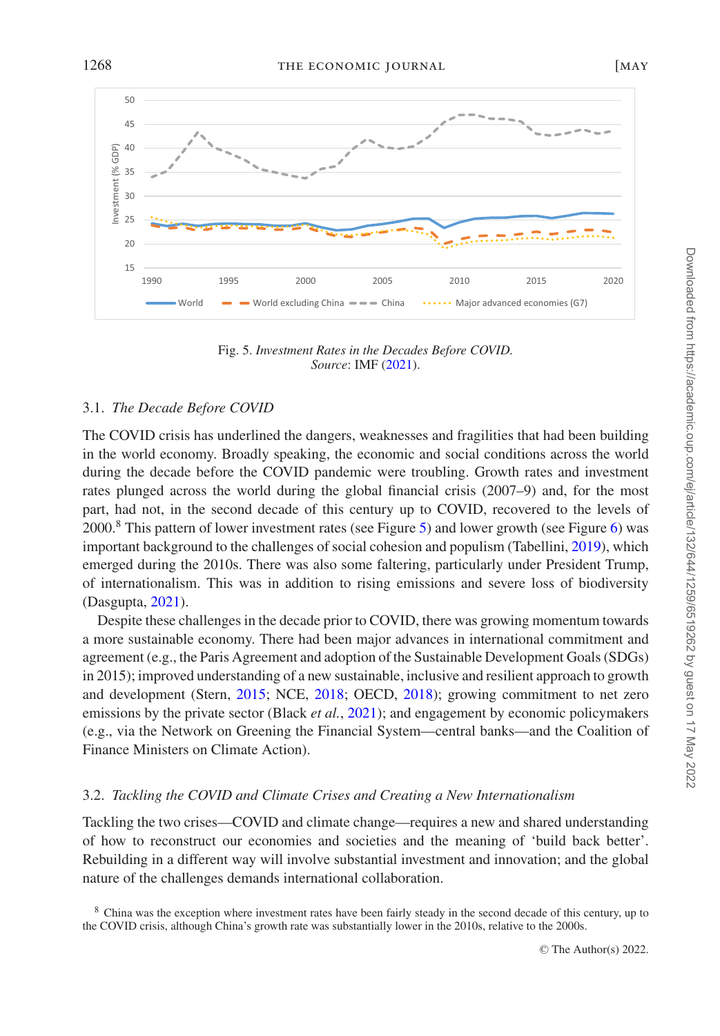<span id="page-9-0"></span>50  $45$ 40 GDP) Investment (% GDP)  $8<sup>o</sup>$ 35 nvestment 30  $25$  $2<sub>0</sub>$ 15 1990 1995 2000 2005 2010 2015 2020 World  $\longrightarrow$  World excluding China  $\longrightarrow$  China  $\longrightarrow$  China Major advanced economies (G7)

Fig. 5. *Investment Rates in the Decades Before COVID. Source*: IMF [\(2021\)](#page-28-8).

#### 3.1. *The Decade Before COVID*

The COVID crisis has underlined the dangers, weaknesses and fragilities that had been building in the world economy. Broadly speaking, the economic and social conditions across the world during the decade before the COVID pandemic were troubling. Growth rates and investment rates plunged across the world during the global financial crisis (2007–9) and, for the most part, had not, in the second decade of this century up to COVID, recovered to the levels of 2000.<sup>8</sup> This pattern of lower investment rates (see Figure [5\)](#page-9-0) and lower growth (see Figure [6\)](#page-10-0) was important background to the challenges of social cohesion and populism (Tabellini, [2019\)](#page-29-6), which emerged during the 2010s. There was also some faltering, particularly under President Trump, of internationalism. This was in addition to rising emissions and severe loss of biodiversity (Dasgupta, [2021\)](#page-27-9).

Despite these challenges in the decade prior to COVID, there was growing momentum towards a more sustainable economy. There had been major advances in international commitment and agreement (e.g., the Paris Agreement and adoption of the Sustainable Development Goals (SDGs) in 2015); improved understanding of a new sustainable, inclusive and resilient approach to growth and development (Stern, [2015;](#page-29-7) NCE, [2018;](#page-28-9) OECD, [2018\)](#page-29-8); growing commitment to net zero emissions by the private sector (Black *et al.*, [2021\)](#page-27-2); and engagement by economic policymakers (e.g., via the Network on Greening the Financial System—central banks—and the Coalition of Finance Ministers on Climate Action).

#### <span id="page-9-1"></span>3.2. *Tackling the COVID and Climate Crises and Creating a New Internationalism*

Tackling the two crises—COVID and climate change—requires a new and shared understanding of how to reconstruct our economies and societies and the meaning of 'build back better'. Rebuilding in a different way will involve substantial investment and innovation; and the global nature of the challenges demands international collaboration.

<sup>8</sup> China was the exception where investment rates have been fairly steady in the second decade of this century, up to the COVID crisis, although China's growth rate was substantially lower in the 2010s, relative to the 2000s.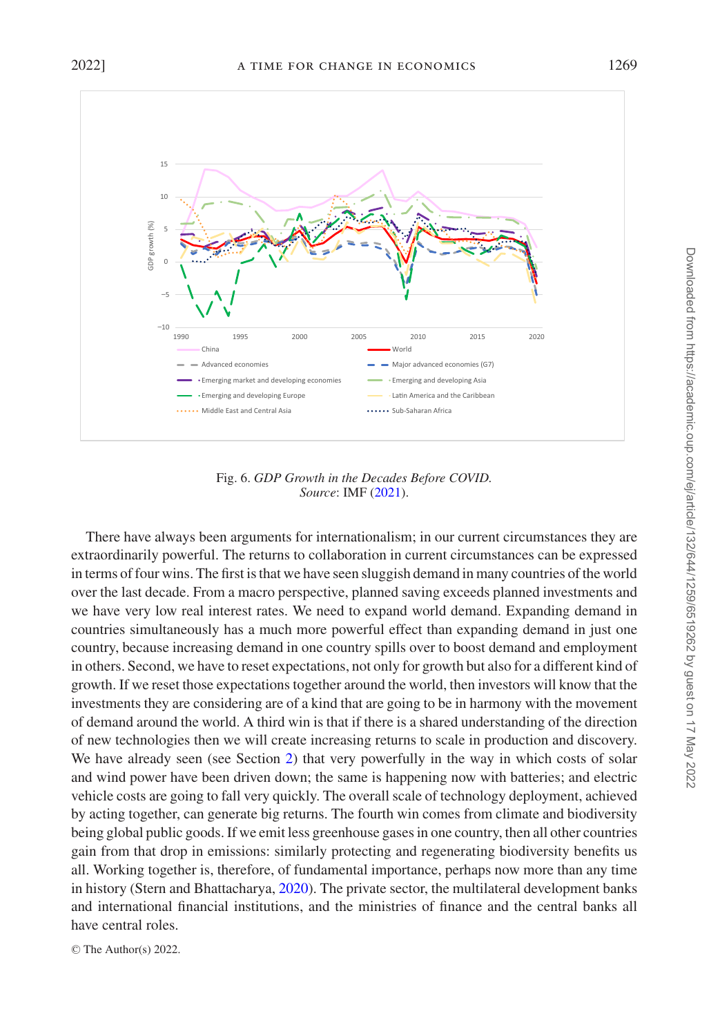<span id="page-10-0"></span>

Fig. 6. *GDP Growth in the Decades Before COVID. Source*: IMF [\(2021\)](#page-28-8).

There have always been arguments for internationalism; in our current circumstances they are extraordinarily powerful. The returns to collaboration in current circumstances can be expressed in terms of four wins. The first is that we have seen sluggish demand in many countries of the world over the last decade. From a macro perspective, planned saving exceeds planned investments and we have very low real interest rates. We need to expand world demand. Expanding demand in countries simultaneously has a much more powerful effect than expanding demand in just one country, because increasing demand in one country spills over to boost demand and employment in others. Second, we have to reset expectations, not only for growth but also for a different kind of growth. If we reset those expectations together around the world, then investors will know that the investments they are considering are of a kind that are going to be in harmony with the movement of demand around the world. A third win is that if there is a shared understanding of the direction of new technologies then we will create increasing returns to scale in production and discovery. We have already seen (see Section [2\)](#page-1-0) that very powerfully in the way in which costs of solar and wind power have been driven down; the same is happening now with batteries; and electric vehicle costs are going to fall very quickly. The overall scale of technology deployment, achieved by acting together, can generate big returns. The fourth win comes from climate and biodiversity being global public goods. If we emit less greenhouse gases in one country, then all other countries gain from that drop in emissions: similarly protecting and regenerating biodiversity benefits us all. Working together is, therefore, of fundamental importance, perhaps now more than any time in history (Stern and Bhattacharya, [2020\)](#page-29-5). The private sector, the multilateral development banks and international financial institutions, and the ministries of finance and the central banks all have central roles.

© The Author(s) 2022.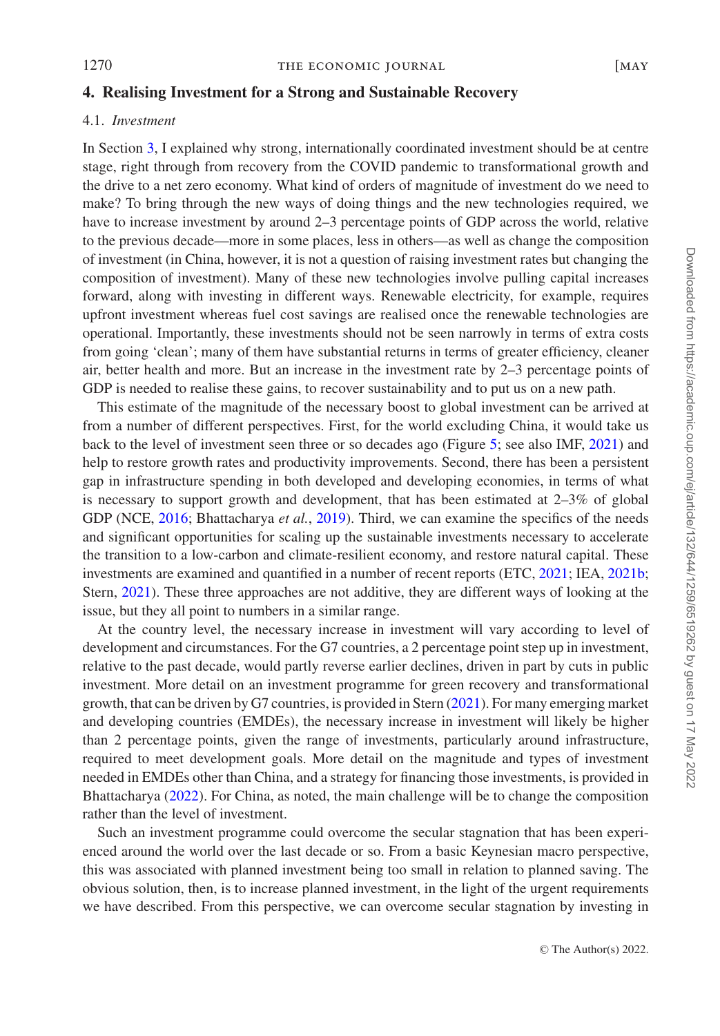## **4. Realising Investment for a Strong and Sustainable Recovery**

#### 4.1. *Investment*

In Section [3,](#page-8-0) I explained why strong, internationally coordinated investment should be at centre stage, right through from recovery from the COVID pandemic to transformational growth and the drive to a net zero economy. What kind of orders of magnitude of investment do we need to make? To bring through the new ways of doing things and the new technologies required, we have to increase investment by around 2–3 percentage points of GDP across the world, relative to the previous decade—more in some places, less in others—as well as change the composition of investment (in China, however, it is not a question of raising investment rates but changing the composition of investment). Many of these new technologies involve pulling capital increases forward, along with investing in different ways. Renewable electricity, for example, requires upfront investment whereas fuel cost savings are realised once the renewable technologies are operational. Importantly, these investments should not be seen narrowly in terms of extra costs from going 'clean'; many of them have substantial returns in terms of greater efficiency, cleaner air, better health and more. But an increase in the investment rate by 2–3 percentage points of GDP is needed to realise these gains, to recover sustainability and to put us on a new path.

This estimate of the magnitude of the necessary boost to global investment can be arrived at from a number of different perspectives. First, for the world excluding China, it would take us back to the level of investment seen three or so decades ago (Figure [5;](#page-9-0) see also IMF, [2021\)](#page-28-8) and help to restore growth rates and productivity improvements. Second, there has been a persistent gap in infrastructure spending in both developed and developing economies, in terms of what is necessary to support growth and development, that has been estimated at 2–3% of global GDP (NCE, [2016;](#page-28-10) Bhattacharya *et al.*, [2019\)](#page-27-10). Third, we can examine the specifics of the needs and significant opportunities for scaling up the sustainable investments necessary to accelerate the transition to a low-carbon and climate-resilient economy, and restore natural capital. These investments are examined and quantified in a number of recent reports (ETC, [2021;](#page-27-3) IEA, [2021b;](#page-28-7) Stern, [2021\)](#page-29-9). These three approaches are not additive, they are different ways of looking at the issue, but they all point to numbers in a similar range.

At the country level, the necessary increase in investment will vary according to level of development and circumstances. For the G7 countries, a 2 percentage point step up in investment, relative to the past decade, would partly reverse earlier declines, driven in part by cuts in public investment. More detail on an investment programme for green recovery and transformational growth, that can be driven by G7 countries, is provided in Stern [\(2021\)](#page-29-9). For many emerging market and developing countries (EMDEs), the necessary increase in investment will likely be higher than 2 percentage points, given the range of investments, particularly around infrastructure, required to meet development goals. More detail on the magnitude and types of investment needed in EMDEs other than China, and a strategy for financing those investments, is provided in Bhattacharya [\(2022\)](#page-27-11). For China, as noted, the main challenge will be to change the composition rather than the level of investment.

Such an investment programme could overcome the secular stagnation that has been experienced around the world over the last decade or so. From a basic Keynesian macro perspective, this was associated with planned investment being too small in relation to planned saving. The obvious solution, then, is to increase planned investment, in the light of the urgent requirements we have described. From this perspective, we can overcome secular stagnation by investing in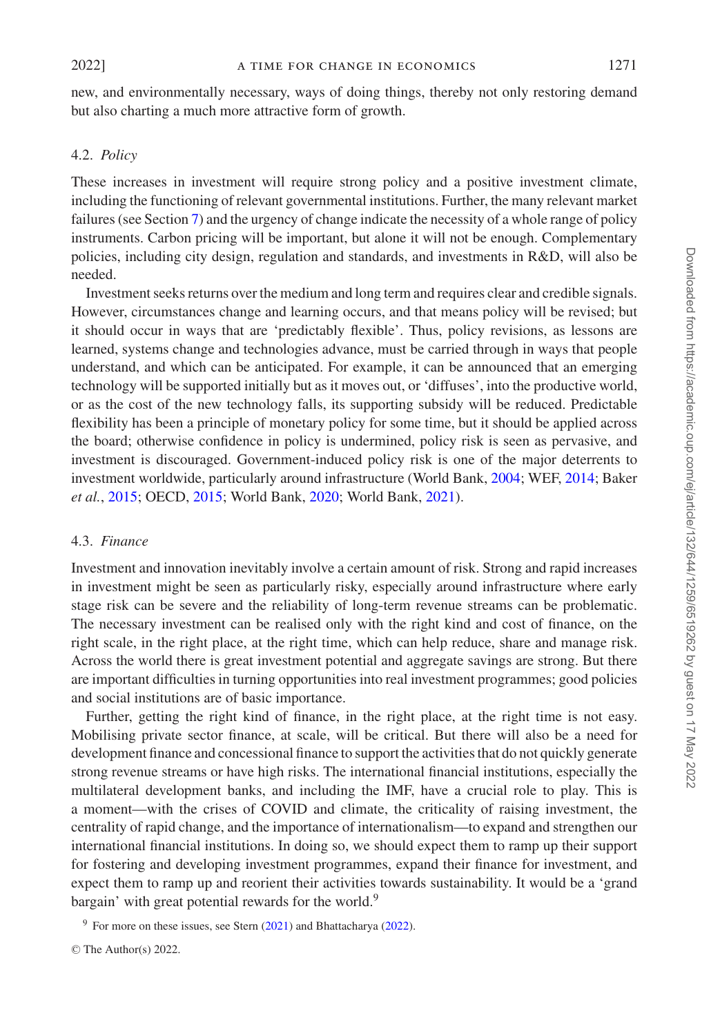new, and environmentally necessary, ways of doing things, thereby not only restoring demand but also charting a much more attractive form of growth.

## 4.2. *Policy*

These increases in investment will require strong policy and a positive investment climate, including the functioning of relevant governmental institutions. Further, the many relevant market failures (see Section [7\)](#page-20-0) and the urgency of change indicate the necessity of a whole range of policy instruments. Carbon pricing will be important, but alone it will not be enough. Complementary policies, including city design, regulation and standards, and investments in R&D, will also be needed.

Investment seeks returns over the medium and long term and requires clear and credible signals. However, circumstances change and learning occurs, and that means policy will be revised; but it should occur in ways that are 'predictably flexible'. Thus, policy revisions, as lessons are learned, systems change and technologies advance, must be carried through in ways that people understand, and which can be anticipated. For example, it can be announced that an emerging technology will be supported initially but as it moves out, or 'diffuses', into the productive world, or as the cost of the new technology falls, its supporting subsidy will be reduced. Predictable flexibility has been a principle of monetary policy for some time, but it should be applied across the board; otherwise confidence in policy is undermined, policy risk is seen as pervasive, and investment is discouraged. Government-induced policy risk is one of the major deterrents to investment worldwide, particularly around infrastructure (World Bank, [2004;](#page-30-0) WEF, [2014;](#page-30-1) Baker *et al.*, [2015;](#page-27-12) OECD, [2015;](#page-29-10) World Bank, [2020;](#page-30-2) World Bank, [2021\)](#page-30-3).

#### 4.3. *Finance*

Investment and innovation inevitably involve a certain amount of risk. Strong and rapid increases in investment might be seen as particularly risky, especially around infrastructure where early stage risk can be severe and the reliability of long-term revenue streams can be problematic. The necessary investment can be realised only with the right kind and cost of finance, on the right scale, in the right place, at the right time, which can help reduce, share and manage risk. Across the world there is great investment potential and aggregate savings are strong. But there are important difficulties in turning opportunities into real investment programmes; good policies and social institutions are of basic importance.

Further, getting the right kind of finance, in the right place, at the right time is not easy. Mobilising private sector finance, at scale, will be critical. But there will also be a need for development finance and concessional finance to support the activities that do not quickly generate strong revenue streams or have high risks. The international financial institutions, especially the multilateral development banks, and including the IMF, have a crucial role to play. This is a moment—with the crises of COVID and climate, the criticality of raising investment, the centrality of rapid change, and the importance of internationalism—to expand and strengthen our international financial institutions. In doing so, we should expect them to ramp up their support for fostering and developing investment programmes, expand their finance for investment, and expect them to ramp up and reorient their activities towards sustainability. It would be a 'grand bargain' with great potential rewards for the world.<sup>9</sup>

<sup>9</sup> For more on these issues, see Stern  $(2021)$  and Bhattacharya  $(2022)$ .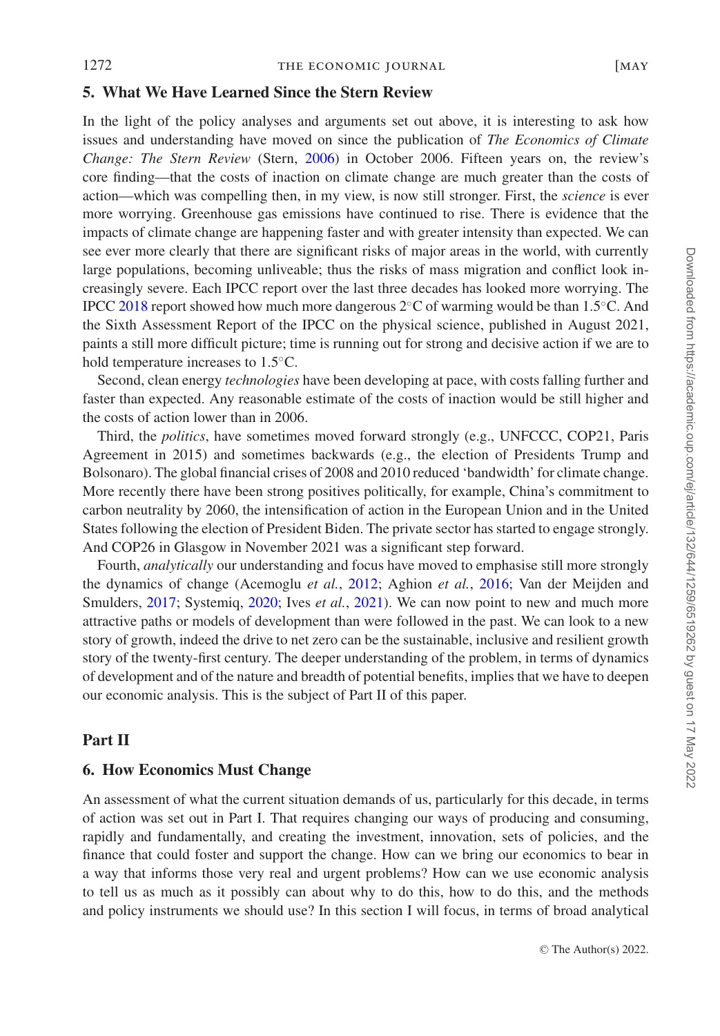## **5. What We Have Learned Since the Stern Review**

In the light of the policy analyses and arguments set out above, it is interesting to ask how issues and understanding have moved on since the publication of *The Economics of Climate Change: The Stern Review* (Stern, [2006\)](#page-29-2) in October 2006. Fifteen years on, the review's core finding—that the costs of inaction on climate change are much greater than the costs of action—which was compelling then, in my view, is now still stronger. First, the *science* is ever more worrying. Greenhouse gas emissions have continued to rise. There is evidence that the impacts of climate change are happening faster and with greater intensity than expected. We can see ever more clearly that there are significant risks of major areas in the world, with currently large populations, becoming unliveable; thus the risks of mass migration and conflict look increasingly severe. Each IPCC report over the last three decades has looked more worrying. The IPCC [2018](#page-28-11) report showed how much more dangerous 2◦C of warming would be than 1.5◦C. And the Sixth Assessment Report of the IPCC on the physical science, published in August 2021, paints a still more difficult picture; time is running out for strong and decisive action if we are to hold temperature increases to 1.5◦C.

Second, clean energy *technologies* have been developing at pace, with costs falling further and faster than expected. Any reasonable estimate of the costs of inaction would be still higher and the costs of action lower than in 2006.

Third, the *politics*, have sometimes moved forward strongly (e.g., UNFCCC, COP21, Paris Agreement in 2015) and sometimes backwards (e.g., the election of Presidents Trump and Bolsonaro). The global financial crises of 2008 and 2010 reduced 'bandwidth' for climate change. More recently there have been strong positives politically, for example, China's commitment to carbon neutrality by 2060, the intensification of action in the European Union and in the United States following the election of President Biden. The private sector has started to engage strongly. And COP26 in Glasgow in November 2021 was a significant step forward.

Fourth, *analytically* our understanding and focus have moved to emphasise still more strongly the dynamics of change (Acemoglu *et al.*, [2012;](#page-26-0) Aghion *et al.*, [2016;](#page-27-13) Van der Meijden and Smulders, [2017;](#page-29-11) Systemiq, [2020;](#page-29-3) Ives *et al.*, [2021\)](#page-28-3). We can now point to new and much more attractive paths or models of development than were followed in the past. We can look to a new story of growth, indeed the drive to net zero can be the sustainable, inclusive and resilient growth story of the twenty-first century. The deeper understanding of the problem, in terms of dynamics of development and of the nature and breadth of potential benefits, implies that we have to deepen our economic analysis. This is the subject of Part II of this paper.

## **Part II**

# **6. How Economics Must Change**

An assessment of what the current situation demands of us, particularly for this decade, in terms of action was set out in Part I. That requires changing our ways of producing and consuming, rapidly and fundamentally, and creating the investment, innovation, sets of policies, and the finance that could foster and support the change. How can we bring our economics to bear in a way that informs those very real and urgent problems? How can we use economic analysis to tell us as much as it possibly can about why to do this, how to do this, and the methods and policy instruments we should use? In this section I will focus, in terms of broad analytical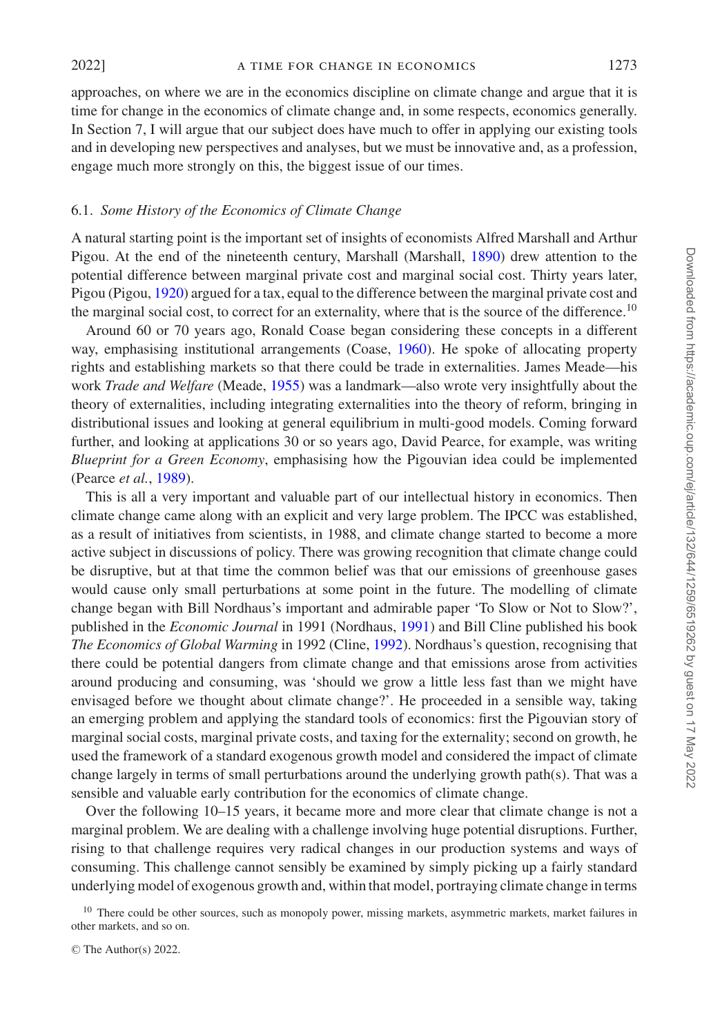approaches, on where we are in the economics discipline on climate change and argue that it is time for change in the economics of climate change and, in some respects, economics generally. In Section 7, I will argue that our subject does have much to offer in applying our existing tools and in developing new perspectives and analyses, but we must be innovative and, as a profession, engage much more strongly on this, the biggest issue of our times.

#### 6.1. *Some History of the Economics of Climate Change*

A natural starting point is the important set of insights of economists Alfred Marshall and Arthur Pigou. At the end of the nineteenth century, Marshall (Marshall, [1890\)](#page-28-12) drew attention to the potential difference between marginal private cost and marginal social cost. Thirty years later, Pigou (Pigou, [1920\)](#page-29-12) argued for a tax, equal to the difference between the marginal private cost and the marginal social cost, to correct for an externality, where that is the source of the difference.<sup>10</sup>

Around 60 or 70 years ago, Ronald Coase began considering these concepts in a different way, emphasising institutional arrangements (Coase, [1960\)](#page-27-14). He spoke of allocating property rights and establishing markets so that there could be trade in externalities. James Meade—his work *Trade and Welfare* (Meade, [1955\)](#page-28-13) was a landmark—also wrote very insightfully about the theory of externalities, including integrating externalities into the theory of reform, bringing in distributional issues and looking at general equilibrium in multi-good models. Coming forward further, and looking at applications 30 or so years ago, David Pearce, for example, was writing *Blueprint for a Green Economy*, emphasising how the Pigouvian idea could be implemented (Pearce *et al.*, [1989\)](#page-29-13).

This is all a very important and valuable part of our intellectual history in economics. Then climate change came along with an explicit and very large problem. The IPCC was established, as a result of initiatives from scientists, in 1988, and climate change started to become a more active subject in discussions of policy. There was growing recognition that climate change could be disruptive, but at that time the common belief was that our emissions of greenhouse gases would cause only small perturbations at some point in the future. The modelling of climate change began with Bill Nordhaus's important and admirable paper 'To Slow or Not to Slow?', published in the *Economic Journal* in 1991 (Nordhaus, [1991\)](#page-28-14) and Bill Cline published his book *The Economics of Global Warming* in 1992 (Cline, [1992\)](#page-27-15). Nordhaus's question, recognising that there could be potential dangers from climate change and that emissions arose from activities around producing and consuming, was 'should we grow a little less fast than we might have envisaged before we thought about climate change?'. He proceeded in a sensible way, taking an emerging problem and applying the standard tools of economics: first the Pigouvian story of marginal social costs, marginal private costs, and taxing for the externality; second on growth, he used the framework of a standard exogenous growth model and considered the impact of climate change largely in terms of small perturbations around the underlying growth path(s). That was a sensible and valuable early contribution for the economics of climate change.

Over the following 10–15 years, it became more and more clear that climate change is not a marginal problem. We are dealing with a challenge involving huge potential disruptions. Further, rising to that challenge requires very radical changes in our production systems and ways of consuming. This challenge cannot sensibly be examined by simply picking up a fairly standard underlying model of exogenous growth and, within that model, portraying climate change in terms

<sup>&</sup>lt;sup>10</sup> There could be other sources, such as monopoly power, missing markets, asymmetric markets, market failures in other markets, and so on.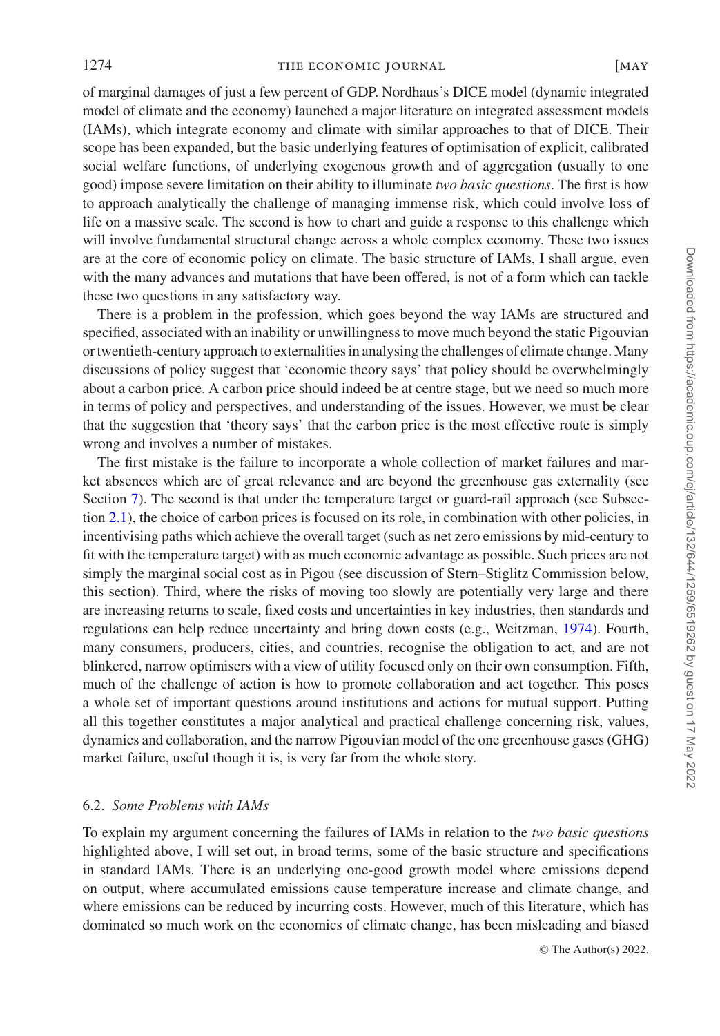1274 **THE ECONOMIC JOURNAL** [MAY

of marginal damages of just a few percent of GDP. Nordhaus's DICE model (dynamic integrated model of climate and the economy) launched a major literature on integrated assessment models (IAMs), which integrate economy and climate with similar approaches to that of DICE. Their scope has been expanded, but the basic underlying features of optimisation of explicit, calibrated social welfare functions, of underlying exogenous growth and of aggregation (usually to one good) impose severe limitation on their ability to illuminate *two basic questions*. The first is how to approach analytically the challenge of managing immense risk, which could involve loss of life on a massive scale. The second is how to chart and guide a response to this challenge which will involve fundamental structural change across a whole complex economy. These two issues are at the core of economic policy on climate. The basic structure of IAMs, I shall argue, even with the many advances and mutations that have been offered, is not of a form which can tackle these two questions in any satisfactory way.

There is a problem in the profession, which goes beyond the way IAMs are structured and specified, associated with an inability or unwillingness to move much beyond the static Pigouvian or twentieth-century approach to externalities in analysing the challenges of climate change. Many discussions of policy suggest that 'economic theory says' that policy should be overwhelmingly about a carbon price. A carbon price should indeed be at centre stage, but we need so much more in terms of policy and perspectives, and understanding of the issues. However, we must be clear that the suggestion that 'theory says' that the carbon price is the most effective route is simply wrong and involves a number of mistakes.

The first mistake is the failure to incorporate a whole collection of market failures and market absences which are of great relevance and are beyond the greenhouse gas externality (see Section [7\)](#page-20-0). The second is that under the temperature target or guard-rail approach (see Subsection [2.1\)](#page-1-1), the choice of carbon prices is focused on its role, in combination with other policies, in incentivising paths which achieve the overall target (such as net zero emissions by mid-century to fit with the temperature target) with as much economic advantage as possible. Such prices are not simply the marginal social cost as in Pigou (see discussion of Stern–Stiglitz Commission below, this section). Third, where the risks of moving too slowly are potentially very large and there are increasing returns to scale, fixed costs and uncertainties in key industries, then standards and regulations can help reduce uncertainty and bring down costs (e.g., Weitzman, [1974\)](#page-30-4). Fourth, many consumers, producers, cities, and countries, recognise the obligation to act, and are not blinkered, narrow optimisers with a view of utility focused only on their own consumption. Fifth, much of the challenge of action is how to promote collaboration and act together. This poses a whole set of important questions around institutions and actions for mutual support. Putting all this together constitutes a major analytical and practical challenge concerning risk, values, dynamics and collaboration, and the narrow Pigouvian model of the one greenhouse gases (GHG) market failure, useful though it is, is very far from the whole story.

#### 6.2. *Some Problems with IAMs*

<span id="page-15-0"></span>To explain my argument concerning the failures of IAMs in relation to the *two basic questions* highlighted above, I will set out, in broad terms, some of the basic structure and specifications in standard IAMs. There is an underlying one-good growth model where emissions depend on output, where accumulated emissions cause temperature increase and climate change, and where emissions can be reduced by incurring costs. However, much of this literature, which has dominated so much work on the economics of climate change, has been misleading and biased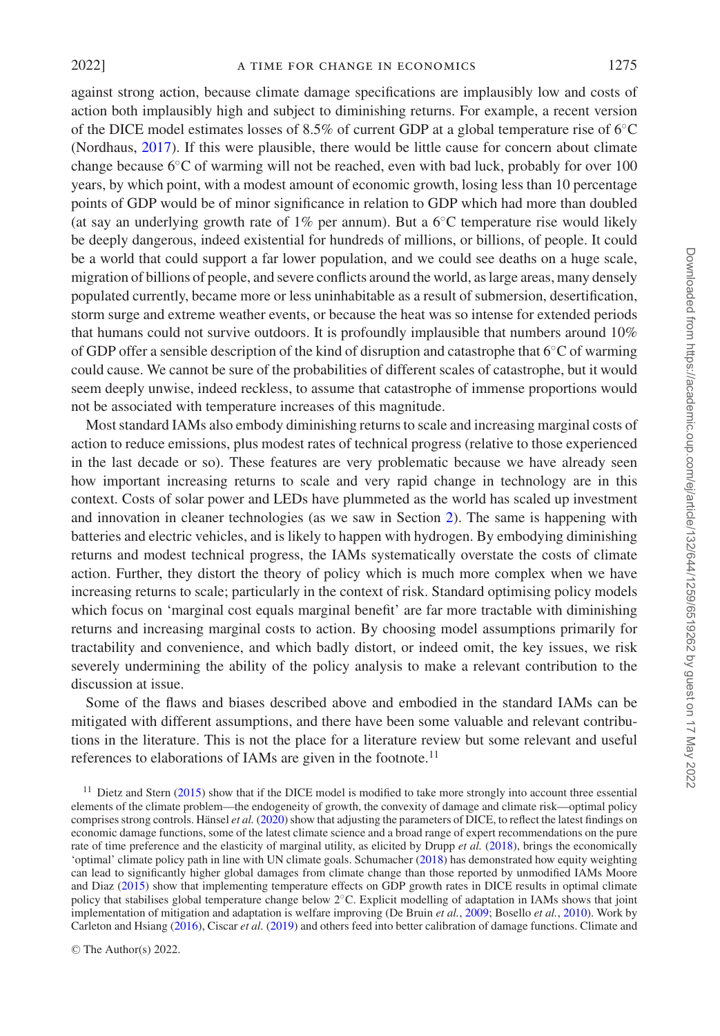against strong action, because climate damage specifications are implausibly low and costs of action both implausibly high and subject to diminishing returns. For example, a recent version of the DICE model estimates losses of 8.5% of current GDP at a global temperature rise of 6◦C (Nordhaus, [2017\)](#page-28-15). If this were plausible, there would be little cause for concern about climate change because 6◦C of warming will not be reached, even with bad luck, probably for over 100 years, by which point, with a modest amount of economic growth, losing less than 10 percentage points of GDP would be of minor significance in relation to GDP which had more than doubled (at say an underlying growth rate of 1% per annum). But a  $6^{\circ}$ C temperature rise would likely be deeply dangerous, indeed existential for hundreds of millions, or billions, of people. It could be a world that could support a far lower population, and we could see deaths on a huge scale, migration of billions of people, and severe conflicts around the world, as large areas, many densely populated currently, became more or less uninhabitable as a result of submersion, desertification, storm surge and extreme weather events, or because the heat was so intense for extended periods that humans could not survive outdoors. It is profoundly implausible that numbers around 10% of GDP offer a sensible description of the kind of disruption and catastrophe that 6◦C of warming could cause. We cannot be sure of the probabilities of different scales of catastrophe, but it would seem deeply unwise, indeed reckless, to assume that catastrophe of immense proportions would not be associated with temperature increases of this magnitude.

Most standard IAMs also embody diminishing returns to scale and increasing marginal costs of action to reduce emissions, plus modest rates of technical progress (relative to those experienced in the last decade or so). These features are very problematic because we have already seen how important increasing returns to scale and very rapid change in technology are in this context. Costs of solar power and LEDs have plummeted as the world has scaled up investment and innovation in cleaner technologies (as we saw in Section [2\)](#page-1-0). The same is happening with batteries and electric vehicles, and is likely to happen with hydrogen. By embodying diminishing returns and modest technical progress, the IAMs systematically overstate the costs of climate action. Further, they distort the theory of policy which is much more complex when we have increasing returns to scale; particularly in the context of risk. Standard optimising policy models which focus on 'marginal cost equals marginal benefit' are far more tractable with diminishing returns and increasing marginal costs to action. By choosing model assumptions primarily for tractability and convenience, and which badly distort, or indeed omit, the key issues, we risk severely undermining the ability of the policy analysis to make a relevant contribution to the discussion at issue.

Some of the flaws and biases described above and embodied in the standard IAMs can be mitigated with different assumptions, and there have been some valuable and relevant contributions in the literature. This is not the place for a literature review but some relevant and useful references to elaborations of IAMs are given in the footnote.<sup>11</sup>

 $11$  Dietz and Stern [\(2015\)](#page-27-16) show that if the DICE model is modified to take more strongly into account three essential elements of the climate problem—the endogeneity of growth, the convexity of damage and climate risk—optimal policy comprises strong controls. Hänsel et al. [\(2020\)](#page-28-16) show that adjusting the parameters of DICE, to reflect the latest findings on economic damage functions, some of the latest climate science and a broad range of expert recommendations on the pure rate of time preference and the elasticity of marginal utility, as elicited by Drupp *et al.* [\(2018\)](#page-27-17), brings the economically 'optimal' climate policy path in line with UN climate goals. Schumacher [\(2018\)](#page-29-14) has demonstrated how equity weighting can lead to significantly higher global damages from climate change than those reported by unmodified IAMs Moore and Diaz [\(2015\)](#page-28-17) show that implementing temperature effects on GDP growth rates in DICE results in optimal climate policy that stabilises global temperature change below 2◦C. Explicit modelling of adaptation in IAMs shows that joint implementation of mitigation and adaptation is welfare improving (De Bruin *et al.*, [2009;](#page-27-18) Bosello *et al.*, [2010\)](#page-27-19). Work by Carleton and Hsiang [\(2016\)](#page-27-20), Ciscar *et al.* [\(2019\)](#page-27-21) and others feed into better calibration of damage functions. Climate and

Downloaded from https://academic.oup.com/ej/article/132/644/1259/6519262 by guest on 17 May 2022 Downloaded from https://academic.oup.com/ej/article/132/644/1259/6519262 by guest on 17 May 2022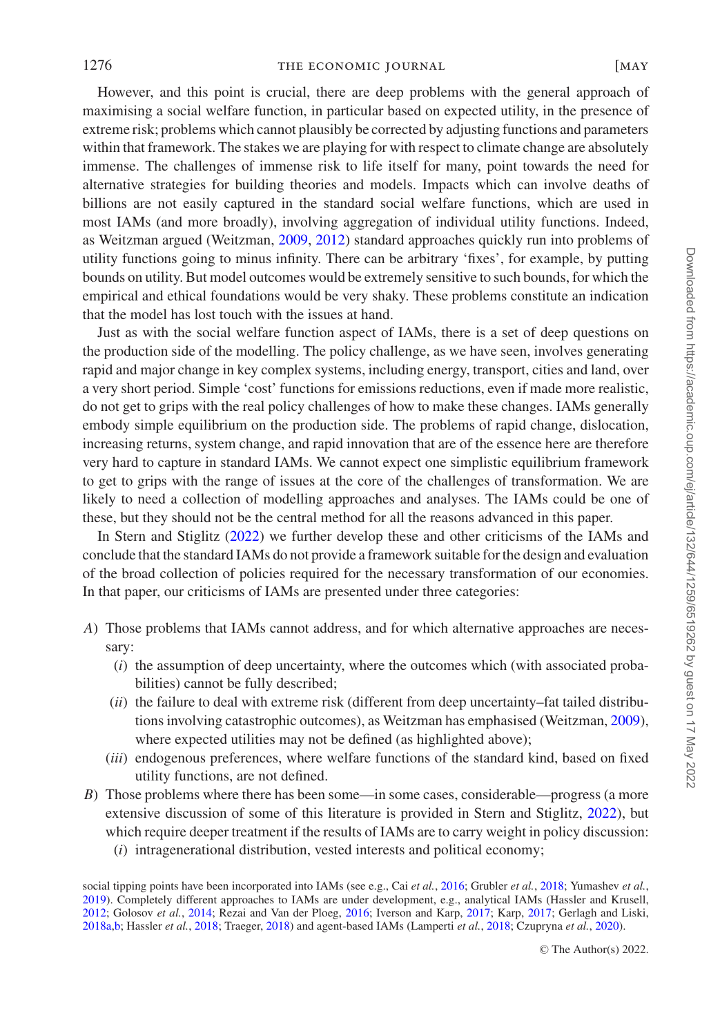However, and this point is crucial, there are deep problems with the general approach of maximising a social welfare function, in particular based on expected utility, in the presence of extreme risk; problems which cannot plausibly be corrected by adjusting functions and parameters within that framework. The stakes we are playing for with respect to climate change are absolutely immense. The challenges of immense risk to life itself for many, point towards the need for alternative strategies for building theories and models. Impacts which can involve deaths of billions are not easily captured in the standard social welfare functions, which are used in most IAMs (and more broadly), involving aggregation of individual utility functions. Indeed, as Weitzman argued (Weitzman, [2009,](#page-30-5) [2012\)](#page-30-6) standard approaches quickly run into problems of utility functions going to minus infinity. There can be arbitrary 'fixes', for example, by putting bounds on utility. But model outcomes would be extremely sensitive to such bounds, for which the empirical and ethical foundations would be very shaky. These problems constitute an indication that the model has lost touch with the issues at hand.

Just as with the social welfare function aspect of IAMs, there is a set of deep questions on the production side of the modelling. The policy challenge, as we have seen, involves generating rapid and major change in key complex systems, including energy, transport, cities and land, over a very short period. Simple 'cost' functions for emissions reductions, even if made more realistic, do not get to grips with the real policy challenges of how to make these changes. IAMs generally embody simple equilibrium on the production side. The problems of rapid change, dislocation, increasing returns, system change, and rapid innovation that are of the essence here are therefore very hard to capture in standard IAMs. We cannot expect one simplistic equilibrium framework to get to grips with the range of issues at the core of the challenges of transformation. We are likely to need a collection of modelling approaches and analyses. The IAMs could be one of these, but they should not be the central method for all the reasons advanced in this paper.

In Stern and Stiglitz [\(2022\)](#page-29-15) we further develop these and other criticisms of the IAMs and conclude that the standard IAMs do not provide a framework suitable for the design and evaluation of the broad collection of policies required for the necessary transformation of our economies. In that paper, our criticisms of IAMs are presented under three categories:

- *A*) Those problems that IAMs cannot address, and for which alternative approaches are necessary:
	- (*i*) the assumption of deep uncertainty, where the outcomes which (with associated probabilities) cannot be fully described;
	- (*ii*) the failure to deal with extreme risk (different from deep uncertainty–fat tailed distributions involving catastrophic outcomes), as Weitzman has emphasised (Weitzman, [2009\)](#page-30-5), where expected utilities may not be defined (as highlighted above);
	- (*iii*) endogenous preferences, where welfare functions of the standard kind, based on fixed utility functions, are not defined.
- *B*) Those problems where there has been some—in some cases, considerable—progress (a more extensive discussion of some of this literature is provided in Stern and Stiglitz, [2022\)](#page-29-15), but which require deeper treatment if the results of IAMs are to carry weight in policy discussion:
	- (*i*) intragenerational distribution, vested interests and political economy;

social tipping points have been incorporated into IAMs (see e.g., Cai *et al.*, [2016;](#page-27-22) Grubler *et al.*, [2018;](#page-28-18) Yumashev *et al.*, [2019\)](#page-30-7). Completely different approaches to IAMs are under development, e.g., analytical IAMs (Hassler and Krusell, [2012;](#page-28-19) Golosov *et al.*, [2014;](#page-28-20) Rezai and Van der Ploeg, [2016;](#page-29-16) Iverson and Karp, [2017;](#page-28-21) Karp, [2017;](#page-28-22) Gerlagh and Liski, [2018a](#page-27-23)[,b;](#page-27-24) Hassler *et al.*, [2018;](#page-28-23) Traeger, [2018\)](#page-29-17) and agent-based IAMs (Lamperti *et al.*, [2018;](#page-28-24) Czupryna *et al.*, [2020\)](#page-27-25).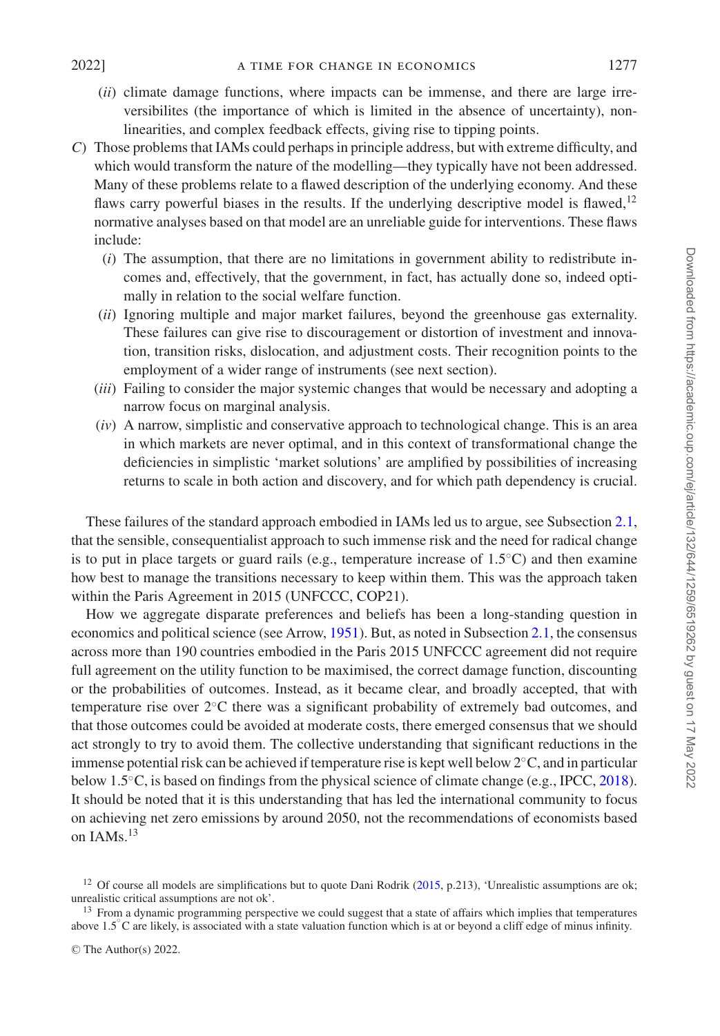- - (*ii*) climate damage functions, where impacts can be immense, and there are large irreversibilites (the importance of which is limited in the absence of uncertainty), nonlinearities, and complex feedback effects, giving rise to tipping points.
- *C*) Those problems that IAMs could perhaps in principle address, but with extreme difficulty, and which would transform the nature of the modelling—they typically have not been addressed. Many of these problems relate to a flawed description of the underlying economy. And these flaws carry powerful biases in the results. If the underlying descriptive model is flawed, $12$ normative analyses based on that model are an unreliable guide for interventions. These flaws include:
	- (*i*) The assumption, that there are no limitations in government ability to redistribute incomes and, effectively, that the government, in fact, has actually done so, indeed optimally in relation to the social welfare function.
	- (*ii*) Ignoring multiple and major market failures, beyond the greenhouse gas externality. These failures can give rise to discouragement or distortion of investment and innovation, transition risks, dislocation, and adjustment costs. Their recognition points to the employment of a wider range of instruments (see next section).
	- (*iii*) Failing to consider the major systemic changes that would be necessary and adopting a narrow focus on marginal analysis.
	- (*iv*) A narrow, simplistic and conservative approach to technological change. This is an area in which markets are never optimal, and in this context of transformational change the deficiencies in simplistic 'market solutions' are amplified by possibilities of increasing returns to scale in both action and discovery, and for which path dependency is crucial.

These failures of the standard approach embodied in IAMs led us to argue, see Subsection [2.1,](#page-1-1) that the sensible, consequentialist approach to such immense risk and the need for radical change is to put in place targets or guard rails (e.g., temperature increase of  $1.5\degree$ C) and then examine how best to manage the transitions necessary to keep within them. This was the approach taken within the Paris Agreement in 2015 (UNFCCC, COP21).

How we aggregate disparate preferences and beliefs has been a long-standing question in economics and political science (see Arrow, [1951\)](#page-27-26). But, as noted in Subsection [2.1,](#page-1-1) the consensus across more than 190 countries embodied in the Paris 2015 UNFCCC agreement did not require full agreement on the utility function to be maximised, the correct damage function, discounting or the probabilities of outcomes. Instead, as it became clear, and broadly accepted, that with temperature rise over 2◦C there was a significant probability of extremely bad outcomes, and that those outcomes could be avoided at moderate costs, there emerged consensus that we should act strongly to try to avoid them. The collective understanding that significant reductions in the immense potential risk can be achieved if temperature rise is kept well below 2◦C, and in particular below 1.5◦C, is based on findings from the physical science of climate change (e.g., IPCC, [2018\)](#page-28-11). It should be noted that it is this understanding that has led the international community to focus on achieving net zero emissions by around 2050, not the recommendations of economists based on  $IAMs$ <sup>13</sup>

<sup>&</sup>lt;sup>12</sup> Of course all models are simplifications but to quote Dani Rodrik [\(2015,](#page-29-18) p.213), 'Unrealistic assumptions are ok; unrealistic critical assumptions are not ok'.

<sup>&</sup>lt;sup>13</sup> From a dynamic programming perspective we could suggest that a state of affairs which implies that temperatures above 1.5<sup>°</sup>C are likely, is associated with a state valuation function which is at or beyond a cliff edge of minus infinity.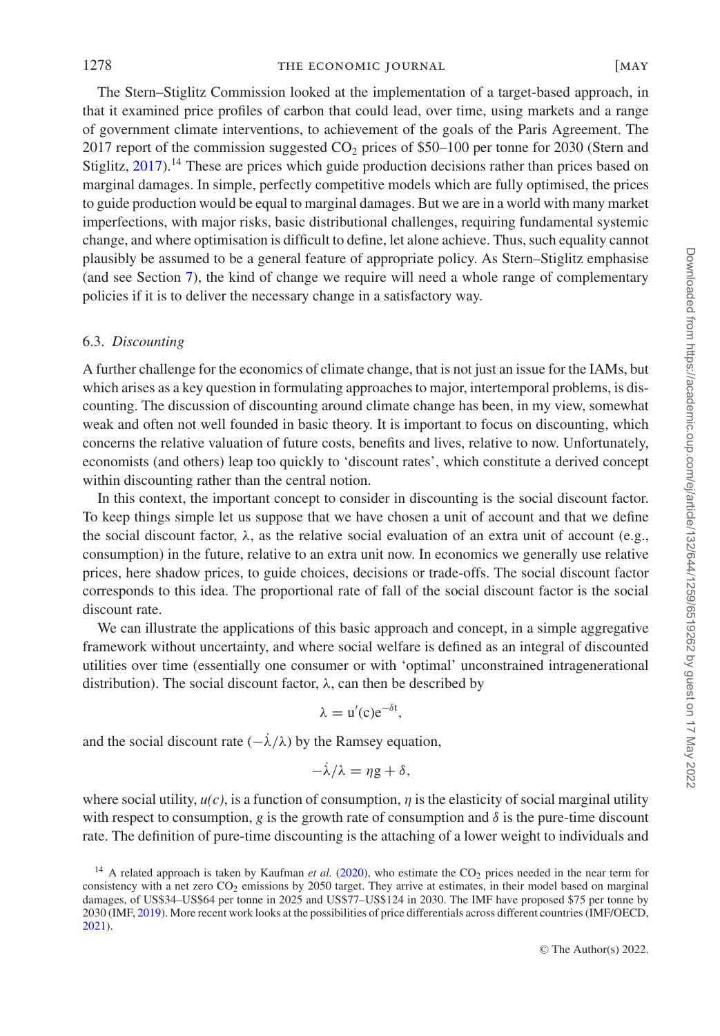1278 THE ECONOMIC JOURNAL [MAY

The Stern–Stiglitz Commission looked at the implementation of a target-based approach, in that it examined price profiles of carbon that could lead, over time, using markets and a range of government climate interventions, to achievement of the goals of the Paris Agreement. The 2017 report of the commission suggested  $CO<sub>2</sub>$  prices of \$50–100 per tonne for 2030 (Stern and Stiglitz,  $2017$ ).<sup>14</sup> These are prices which guide production decisions rather than prices based on marginal damages. In simple, perfectly competitive models which are fully optimised, the prices to guide production would be equal to marginal damages. But we are in a world with many market imperfections, with major risks, basic distributional challenges, requiring fundamental systemic change, and where optimisation is difficult to define, let alone achieve. Thus, such equality cannot plausibly be assumed to be a general feature of appropriate policy. As Stern–Stiglitz emphasise (and see Section [7\)](#page-20-0), the kind of change we require will need a whole range of complementary policies if it is to deliver the necessary change in a satisfactory way.

## 6.3. *Discounting*

A further challenge for the economics of climate change, that is not just an issue for the IAMs, but which arises as a key question in formulating approaches to major, intertemporal problems, is discounting. The discussion of discounting around climate change has been, in my view, somewhat weak and often not well founded in basic theory. It is important to focus on discounting, which concerns the relative valuation of future costs, benefits and lives, relative to now. Unfortunately, economists (and others) leap too quickly to 'discount rates', which constitute a derived concept within discounting rather than the central notion.

In this context, the important concept to consider in discounting is the social discount factor. To keep things simple let us suppose that we have chosen a unit of account and that we define the social discount factor,  $\lambda$ , as the relative social evaluation of an extra unit of account (e.g., consumption) in the future, relative to an extra unit now. In economics we generally use relative prices, here shadow prices, to guide choices, decisions or trade-offs. The social discount factor corresponds to this idea. The proportional rate of fall of the social discount factor is the social discount rate.

We can illustrate the applications of this basic approach and concept, in a simple aggregative framework without uncertainty, and where social welfare is defined as an integral of discounted utilities over time (essentially one consumer or with 'optimal' unconstrained intragenerational distribution). The social discount factor,  $\lambda$ , can then be described by

$$
\lambda = u'(c)e^{-\delta t},
$$

and the social discount rate  $\left(-\lambda/\lambda\right)$  by the Ramsey equation,

$$
-\dot{\lambda}/\lambda = \eta g + \delta,
$$

where social utility,  $u(c)$ , is a function of consumption,  $\eta$  is the elasticity of social marginal utility with respect to consumption,  $g$  is the growth rate of consumption and  $\delta$  is the pure-time discount rate. The definition of pure-time discounting is the attaching of a lower weight to individuals and

<sup>&</sup>lt;sup>14</sup> A related approach is taken by Kaufman *et al.* [\(2020\)](#page-28-25), who estimate the  $CO<sub>2</sub>$  prices needed in the near term for consistency with a net zero CO<sub>2</sub> emissions by 2050 target. They arrive at estimates, in their model based on marginal damages, of US\$34–US\$64 per tonne in 2025 and US\$77–US\$124 in 2030. The IMF have proposed \$75 per tonne by 2030 (IMF, [2019\)](#page-28-26). More recent work looks at the possibilities of price differentials across different countries (IMF/OECD, [2021\)](#page-28-27).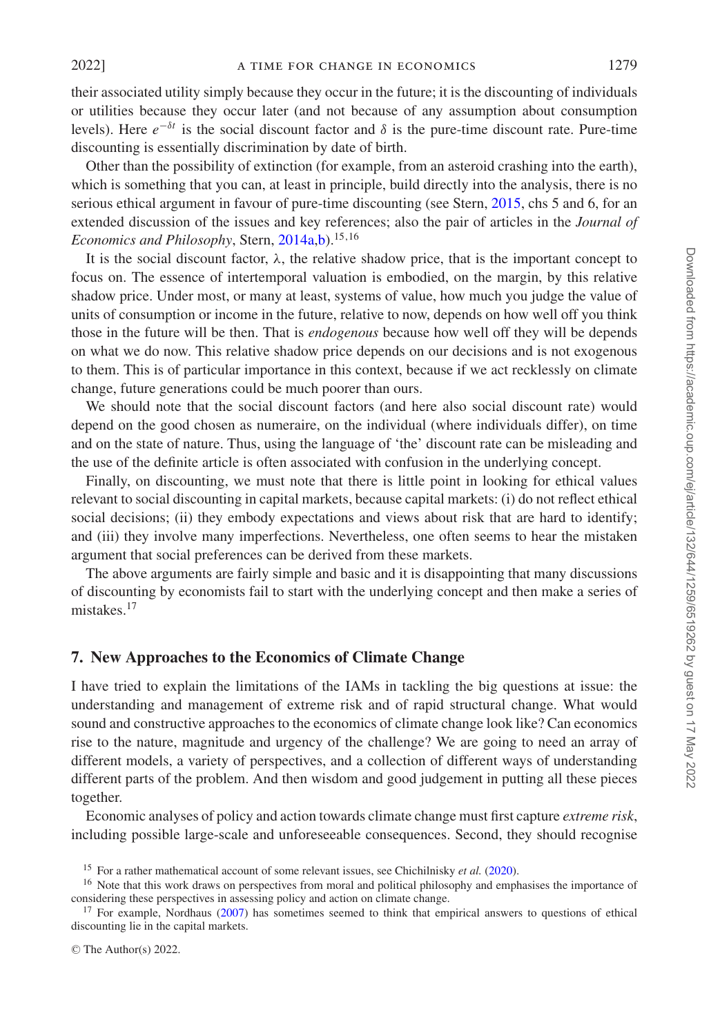their associated utility simply because they occur in the future; it is the discounting of individuals or utilities because they occur later (and not because of any assumption about consumption levels). Here  $e^{-\delta t}$  is the social discount factor and δ is the pure-time discount rate. Pure-time discounting is essentially discrimination by date of birth.

Other than the possibility of extinction (for example, from an asteroid crashing into the earth), which is something that you can, at least in principle, build directly into the analysis, there is no serious ethical argument in favour of pure-time discounting (see Stern, [2015,](#page-29-7) chs 5 and 6, for an extended discussion of the issues and key references; also the pair of articles in the *Journal of Economics and Philosophy*, Stern, [2014a,](#page-29-20)[b\)](#page-29-21).<sup>15,16</sup>

It is the social discount factor,  $\lambda$ , the relative shadow price, that is the important concept to focus on. The essence of intertemporal valuation is embodied, on the margin, by this relative shadow price. Under most, or many at least, systems of value, how much you judge the value of units of consumption or income in the future, relative to now, depends on how well off you think those in the future will be then. That is *endogenous* because how well off they will be depends on what we do now. This relative shadow price depends on our decisions and is not exogenous to them. This is of particular importance in this context, because if we act recklessly on climate change, future generations could be much poorer than ours.

We should note that the social discount factors (and here also social discount rate) would depend on the good chosen as numeraire, on the individual (where individuals differ), on time and on the state of nature. Thus, using the language of 'the' discount rate can be misleading and the use of the definite article is often associated with confusion in the underlying concept.

Finally, on discounting, we must note that there is little point in looking for ethical values relevant to social discounting in capital markets, because capital markets: (i) do not reflect ethical social decisions; (ii) they embody expectations and views about risk that are hard to identify; and (iii) they involve many imperfections. Nevertheless, one often seems to hear the mistaken argument that social preferences can be derived from these markets.

The above arguments are fairly simple and basic and it is disappointing that many discussions of discounting by economists fail to start with the underlying concept and then make a series of mistakes.<sup>17</sup>

## <span id="page-20-0"></span>**7. New Approaches to the Economics of Climate Change**

I have tried to explain the limitations of the IAMs in tackling the big questions at issue: the understanding and management of extreme risk and of rapid structural change. What would sound and constructive approaches to the economics of climate change look like? Can economics rise to the nature, magnitude and urgency of the challenge? We are going to need an array of different models, a variety of perspectives, and a collection of different ways of understanding different parts of the problem. And then wisdom and good judgement in putting all these pieces together.

Economic analyses of policy and action towards climate change must first capture *extreme risk*, including possible large-scale and unforeseeable consequences. Second, they should recognise

© The Author(s) 2022.

<sup>15</sup> For a rather mathematical account of some relevant issues, see Chichilnisky *et al.* [\(2020\)](#page-27-27).

<sup>&</sup>lt;sup>16</sup> Note that this work draws on perspectives from moral and political philosophy and emphasises the importance of considering these perspectives in assessing policy and action on climate change.

<sup>&</sup>lt;sup>17</sup> For example, Nordhaus [\(2007\)](#page-28-28) has sometimes seemed to think that empirical answers to questions of ethical discounting lie in the capital markets.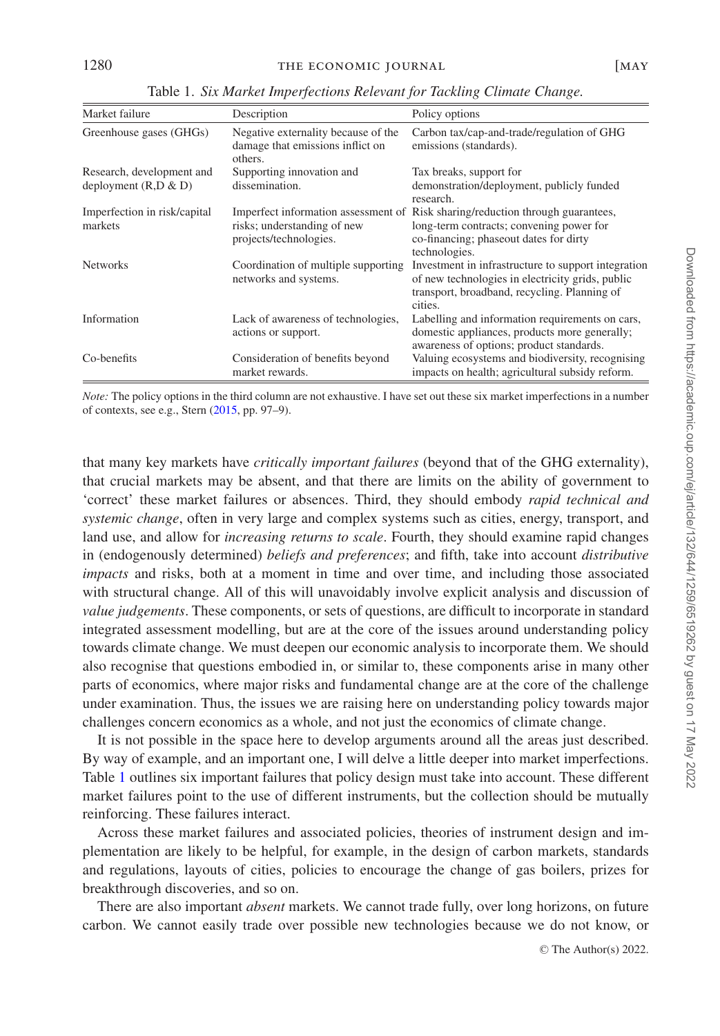<span id="page-21-0"></span>

| Market failure                                        | Description                                                                        | Policy options                                                                                                                                                                        |
|-------------------------------------------------------|------------------------------------------------------------------------------------|---------------------------------------------------------------------------------------------------------------------------------------------------------------------------------------|
| Greenhouse gases (GHGs)                               | Negative externality because of the<br>damage that emissions inflict on<br>others. | Carbon tax/cap-and-trade/regulation of GHG<br>emissions (standards).                                                                                                                  |
| Research, development and<br>deployment $(R, D \& D)$ | Supporting innovation and<br>dissemination.                                        | Tax breaks, support for<br>demonstration/deployment, publicly funded<br>research.                                                                                                     |
| Imperfection in risk/capital<br>markets               | risks; understanding of new<br>projects/technologies.                              | Imperfect information assessment of Risk sharing/reduction through guarantees,<br>long-term contracts; convening power for<br>co-financing; phaseout dates for dirty<br>technologies. |
| <b>Networks</b>                                       | Coordination of multiple supporting<br>networks and systems.                       | Investment in infrastructure to support integration<br>of new technologies in electricity grids, public<br>transport, broadband, recycling. Planning of<br>cities.                    |
| Information                                           | Lack of awareness of technologies,<br>actions or support.                          | Labelling and information requirements on cars,<br>domestic appliances, products more generally;<br>awareness of options; product standards.                                          |
| Co-benefits                                           | Consideration of benefits beyond<br>market rewards.                                | Valuing ecosystems and biodiversity, recognising<br>impacts on health; agricultural subsidy reform.                                                                                   |

Table 1. *Six Market Imperfections Relevant for Tackling Climate Change.*

*Note:* The policy options in the third column are not exhaustive. I have set out these six market imperfections in a number of contexts, see e.g., Stern [\(2015,](#page-29-7) pp. 97–9).

that many key markets have *critically important failures* (beyond that of the GHG externality), that crucial markets may be absent, and that there are limits on the ability of government to 'correct' these market failures or absences. Third, they should embody *rapid technical and systemic change*, often in very large and complex systems such as cities, energy, transport, and land use, and allow for *increasing returns to scale*. Fourth, they should examine rapid changes in (endogenously determined) *beliefs and preferences*; and fifth, take into account *distributive impacts* and risks, both at a moment in time and over time, and including those associated with structural change. All of this will unavoidably involve explicit analysis and discussion of *value judgements*. These components, or sets of questions, are difficult to incorporate in standard integrated assessment modelling, but are at the core of the issues around understanding policy towards climate change. We must deepen our economic analysis to incorporate them. We should also recognise that questions embodied in, or similar to, these components arise in many other parts of economics, where major risks and fundamental change are at the core of the challenge under examination. Thus, the issues we are raising here on understanding policy towards major challenges concern economics as a whole, and not just the economics of climate change.

It is not possible in the space here to develop arguments around all the areas just described. By way of example, and an important one, I will delve a little deeper into market imperfections. Table [1](#page-21-0) outlines six important failures that policy design must take into account. These different market failures point to the use of different instruments, but the collection should be mutually reinforcing. These failures interact.

Across these market failures and associated policies, theories of instrument design and implementation are likely to be helpful, for example, in the design of carbon markets, standards and regulations, layouts of cities, policies to encourage the change of gas boilers, prizes for breakthrough discoveries, and so on.

There are also important *absent* markets. We cannot trade fully, over long horizons, on future carbon. We cannot easily trade over possible new technologies because we do not know, or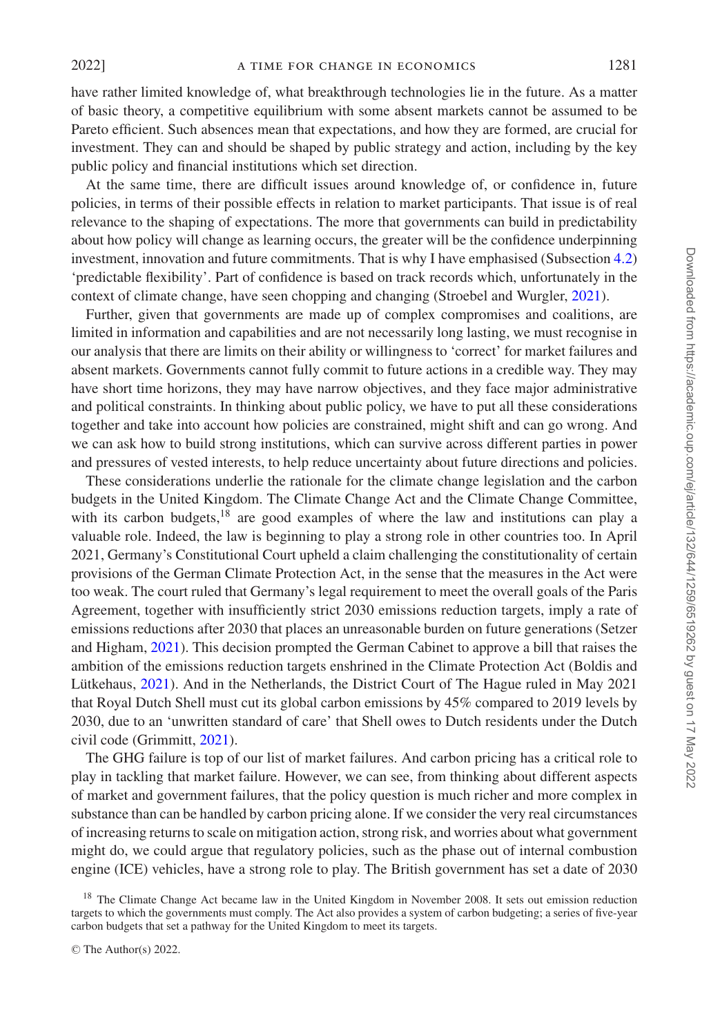have rather limited knowledge of, what breakthrough technologies lie in the future. As a matter of basic theory, a competitive equilibrium with some absent markets cannot be assumed to be Pareto efficient. Such absences mean that expectations, and how they are formed, are crucial for investment. They can and should be shaped by public strategy and action, including by the key public policy and financial institutions which set direction.

At the same time, there are difficult issues around knowledge of, or confidence in, future policies, in terms of their possible effects in relation to market participants. That issue is of real relevance to the shaping of expectations. The more that governments can build in predictability about how policy will change as learning occurs, the greater will be the confidence underpinning investment, innovation and future commitments. That is why I have emphasised (Subsection [4.2\)](#page-9-1) 'predictable flexibility'. Part of confidence is based on track records which, unfortunately in the context of climate change, have seen chopping and changing (Stroebel and Wurgler, [2021\)](#page-29-22).

Further, given that governments are made up of complex compromises and coalitions, are limited in information and capabilities and are not necessarily long lasting, we must recognise in our analysis that there are limits on their ability or willingness to 'correct' for market failures and absent markets. Governments cannot fully commit to future actions in a credible way. They may have short time horizons, they may have narrow objectives, and they face major administrative and political constraints. In thinking about public policy, we have to put all these considerations together and take into account how policies are constrained, might shift and can go wrong. And we can ask how to build strong institutions, which can survive across different parties in power and pressures of vested interests, to help reduce uncertainty about future directions and policies.

These considerations underlie the rationale for the climate change legislation and the carbon budgets in the United Kingdom. The Climate Change Act and the Climate Change Committee, with its carbon budgets, $18$  are good examples of where the law and institutions can play a valuable role. Indeed, the law is beginning to play a strong role in other countries too. In April 2021, Germany's Constitutional Court upheld a claim challenging the constitutionality of certain provisions of the German Climate Protection Act, in the sense that the measures in the Act were too weak. The court ruled that Germany's legal requirement to meet the overall goals of the Paris Agreement, together with insufficiently strict 2030 emissions reduction targets, imply a rate of emissions reductions after 2030 that places an unreasonable burden on future generations (Setzer and Higham, [2021\)](#page-29-23). This decision prompted the German Cabinet to approve a bill that raises the ambition of the emissions reduction targets enshrined in the Climate Protection Act (Boldis and Lütkehaus, [2021\)](#page-27-28). And in the Netherlands, the District Court of The Hague ruled in May 2021 that Royal Dutch Shell must cut its global carbon emissions by 45% compared to 2019 levels by 2030, due to an 'unwritten standard of care' that Shell owes to Dutch residents under the Dutch civil code (Grimmitt, [2021\)](#page-28-29).

The GHG failure is top of our list of market failures. And carbon pricing has a critical role to play in tackling that market failure. However, we can see, from thinking about different aspects of market and government failures, that the policy question is much richer and more complex in substance than can be handled by carbon pricing alone. If we consider the very real circumstances of increasing returns to scale on mitigation action, strong risk, and worries about what government might do, we could argue that regulatory policies, such as the phase out of internal combustion engine (ICE) vehicles, have a strong role to play. The British government has set a date of 2030

<sup>&</sup>lt;sup>18</sup> The Climate Change Act became law in the United Kingdom in November 2008. It sets out emission reduction targets to which the governments must comply. The Act also provides a system of carbon budgeting; a series of five-year carbon budgets that set a pathway for the United Kingdom to meet its targets.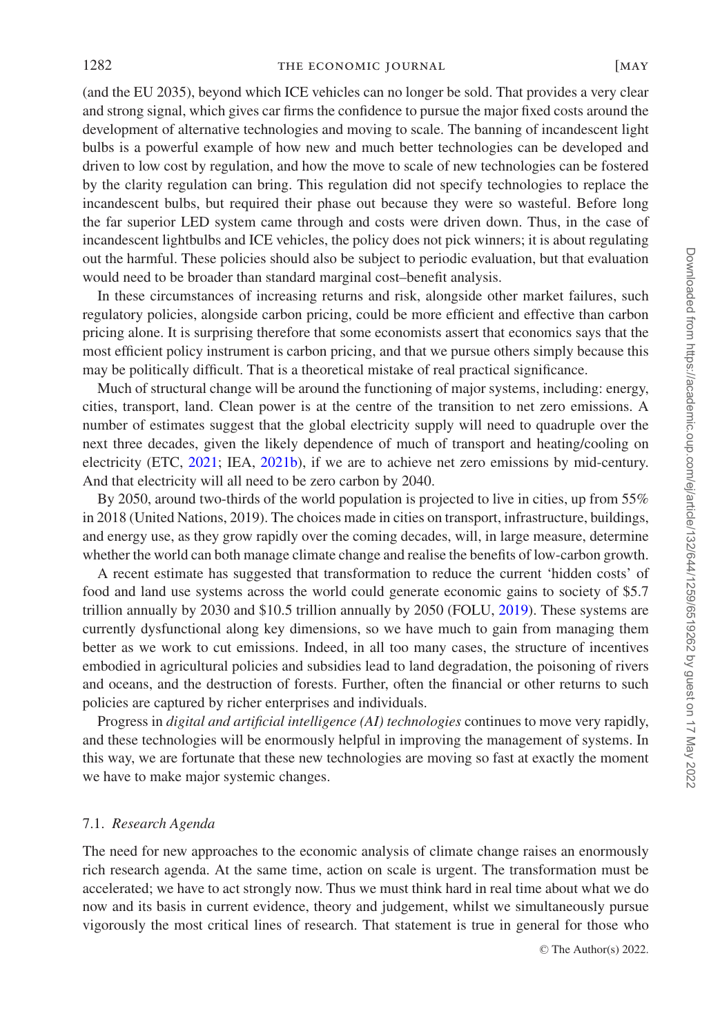(and the EU 2035), beyond which ICE vehicles can no longer be sold. That provides a very clear and strong signal, which gives car firms the confidence to pursue the major fixed costs around the development of alternative technologies and moving to scale. The banning of incandescent light bulbs is a powerful example of how new and much better technologies can be developed and driven to low cost by regulation, and how the move to scale of new technologies can be fostered by the clarity regulation can bring. This regulation did not specify technologies to replace the incandescent bulbs, but required their phase out because they were so wasteful. Before long the far superior LED system came through and costs were driven down. Thus, in the case of incandescent lightbulbs and ICE vehicles, the policy does not pick winners; it is about regulating out the harmful. These policies should also be subject to periodic evaluation, but that evaluation would need to be broader than standard marginal cost–benefit analysis.

In these circumstances of increasing returns and risk, alongside other market failures, such regulatory policies, alongside carbon pricing, could be more efficient and effective than carbon pricing alone. It is surprising therefore that some economists assert that economics says that the most efficient policy instrument is carbon pricing, and that we pursue others simply because this may be politically difficult. That is a theoretical mistake of real practical significance.

Much of structural change will be around the functioning of major systems, including: energy, cities, transport, land. Clean power is at the centre of the transition to net zero emissions. A number of estimates suggest that the global electricity supply will need to quadruple over the next three decades, given the likely dependence of much of transport and heating/cooling on electricity (ETC, [2021;](#page-27-3) IEA, [2021b\)](#page-28-7), if we are to achieve net zero emissions by mid-century. And that electricity will all need to be zero carbon by 2040.

By 2050, around two-thirds of the world population is projected to live in cities, up from 55% in 2018 (United Nations, 2019). The choices made in cities on transport, infrastructure, buildings, and energy use, as they grow rapidly over the coming decades, will, in large measure, determine whether the world can both manage climate change and realise the benefits of low-carbon growth.

A recent estimate has suggested that transformation to reduce the current 'hidden costs' of food and land use systems across the world could generate economic gains to society of \$5.7 trillion annually by 2030 and \$10.5 trillion annually by 2050 (FOLU, [2019\)](#page-27-29). These systems are currently dysfunctional along key dimensions, so we have much to gain from managing them better as we work to cut emissions. Indeed, in all too many cases, the structure of incentives embodied in agricultural policies and subsidies lead to land degradation, the poisoning of rivers and oceans, and the destruction of forests. Further, often the financial or other returns to such policies are captured by richer enterprises and individuals.

Progress in *digital and artificial intelligence (AI) technologies* continues to move very rapidly, and these technologies will be enormously helpful in improving the management of systems. In this way, we are fortunate that these new technologies are moving so fast at exactly the moment we have to make major systemic changes.

#### 7.1. *Research Agenda*

The need for new approaches to the economic analysis of climate change raises an enormously rich research agenda. At the same time, action on scale is urgent. The transformation must be accelerated; we have to act strongly now. Thus we must think hard in real time about what we do now and its basis in current evidence, theory and judgement, whilst we simultaneously pursue vigorously the most critical lines of research. That statement is true in general for those who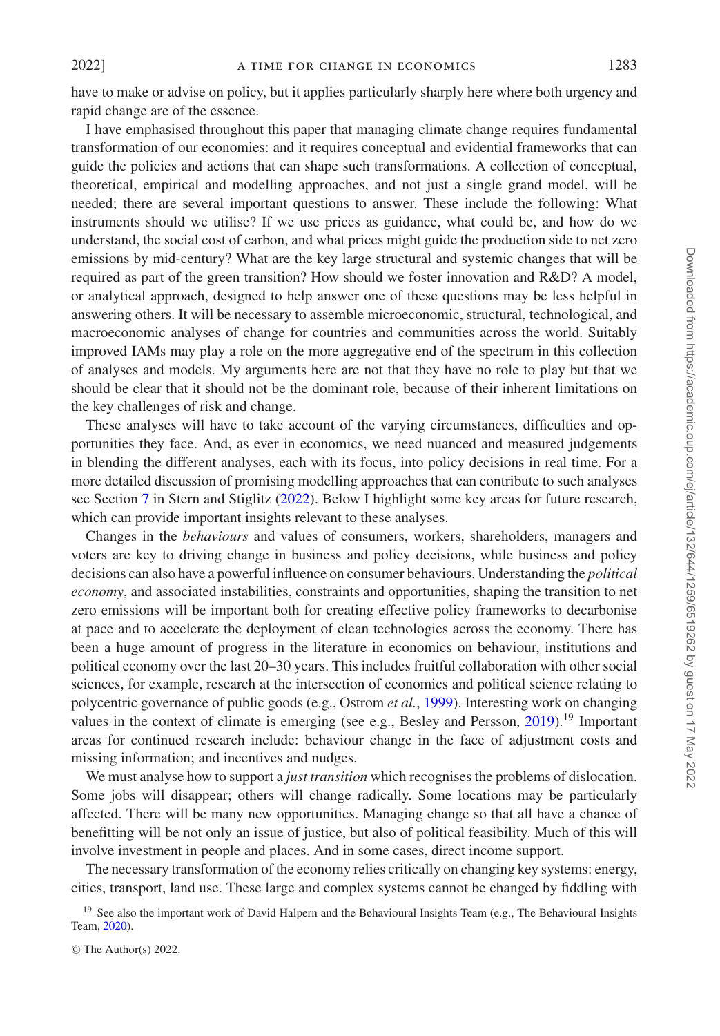I have emphasised throughout this paper that managing climate change requires fundamental transformation of our economies: and it requires conceptual and evidential frameworks that can guide the policies and actions that can shape such transformations. A collection of conceptual, theoretical, empirical and modelling approaches, and not just a single grand model, will be needed; there are several important questions to answer. These include the following: What instruments should we utilise? If we use prices as guidance, what could be, and how do we understand, the social cost of carbon, and what prices might guide the production side to net zero emissions by mid-century? What are the key large structural and systemic changes that will be required as part of the green transition? How should we foster innovation and R&D? A model, or analytical approach, designed to help answer one of these questions may be less helpful in answering others. It will be necessary to assemble microeconomic, structural, technological, and macroeconomic analyses of change for countries and communities across the world. Suitably improved IAMs may play a role on the more aggregative end of the spectrum in this collection of analyses and models. My arguments here are not that they have no role to play but that we should be clear that it should not be the dominant role, because of their inherent limitations on the key challenges of risk and change.

These analyses will have to take account of the varying circumstances, difficulties and opportunities they face. And, as ever in economics, we need nuanced and measured judgements in blending the different analyses, each with its focus, into policy decisions in real time. For a more detailed discussion of promising modelling approaches that can contribute to such analyses see Section [7](#page-20-0) in Stern and Stiglitz [\(2022\)](#page-29-15). Below I highlight some key areas for future research, which can provide important insights relevant to these analyses.

Changes in the *behaviours* and values of consumers, workers, shareholders, managers and voters are key to driving change in business and policy decisions, while business and policy decisions can also have a powerful influence on consumer behaviours. Understanding the *political economy*, and associated instabilities, constraints and opportunities, shaping the transition to net zero emissions will be important both for creating effective policy frameworks to decarbonise at pace and to accelerate the deployment of clean technologies across the economy. There has been a huge amount of progress in the literature in economics on behaviour, institutions and political economy over the last 20–30 years. This includes fruitful collaboration with other social sciences, for example, research at the intersection of economics and political science relating to polycentric governance of public goods (e.g., Ostrom *et al.*, [1999\)](#page-29-24). Interesting work on changing values in the context of climate is emerging (see e.g., Besley and Persson, [2019\)](#page-27-30).<sup>19</sup> Important areas for continued research include: behaviour change in the face of adjustment costs and missing information; and incentives and nudges.

We must analyse how to support a *just transition* which recognises the problems of dislocation. Some jobs will disappear; others will change radically. Some locations may be particularly affected. There will be many new opportunities. Managing change so that all have a chance of benefitting will be not only an issue of justice, but also of political feasibility. Much of this will involve investment in people and places. And in some cases, direct income support.

The necessary transformation of the economy relies critically on changing key systems: energy, cities, transport, land use. These large and complex systems cannot be changed by fiddling with

<sup>&</sup>lt;sup>19</sup> See also the important work of David Halpern and the Behavioural Insights Team (e.g., The Behavioural Insights Team, [2020\)](#page-29-25).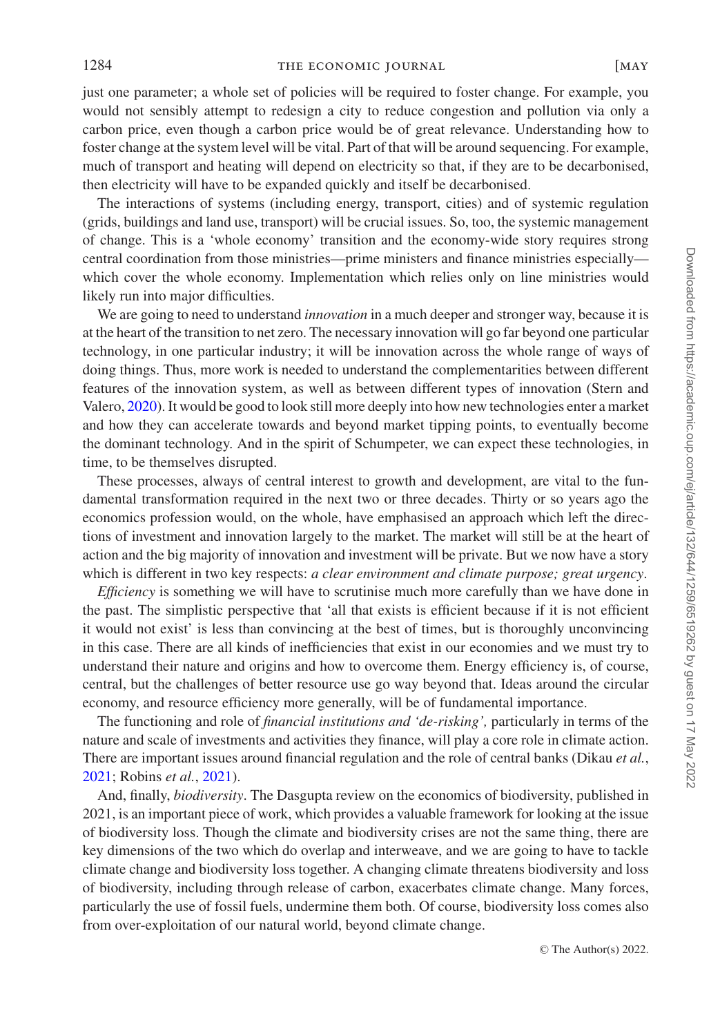just one parameter; a whole set of policies will be required to foster change. For example, you would not sensibly attempt to redesign a city to reduce congestion and pollution via only a carbon price, even though a carbon price would be of great relevance. Understanding how to foster change at the system level will be vital. Part of that will be around sequencing. For example, much of transport and heating will depend on electricity so that, if they are to be decarbonised, then electricity will have to be expanded quickly and itself be decarbonised.

The interactions of systems (including energy, transport, cities) and of systemic regulation (grids, buildings and land use, transport) will be crucial issues. So, too, the systemic management of change. This is a 'whole economy' transition and the economy-wide story requires strong central coordination from those ministries—prime ministers and finance ministries especially which cover the whole economy. Implementation which relies only on line ministries would likely run into major difficulties.

We are going to need to understand *innovation* in a much deeper and stronger way, because it is at the heart of the transition to net zero. The necessary innovation will go far beyond one particular technology, in one particular industry; it will be innovation across the whole range of ways of doing things. Thus, more work is needed to understand the complementarities between different features of the innovation system, as well as between different types of innovation (Stern and Valero, [2020\)](#page-29-26). It would be good to look still more deeply into how new technologies enter a market and how they can accelerate towards and beyond market tipping points, to eventually become the dominant technology. And in the spirit of Schumpeter, we can expect these technologies, in time, to be themselves disrupted.

These processes, always of central interest to growth and development, are vital to the fundamental transformation required in the next two or three decades. Thirty or so years ago the economics profession would, on the whole, have emphasised an approach which left the directions of investment and innovation largely to the market. The market will still be at the heart of action and the big majority of innovation and investment will be private. But we now have a story which is different in two key respects: *a clear environment and climate purpose; great urgency*.

*Efficiency* is something we will have to scrutinise much more carefully than we have done in the past. The simplistic perspective that 'all that exists is efficient because if it is not efficient it would not exist' is less than convincing at the best of times, but is thoroughly unconvincing in this case. There are all kinds of inefficiencies that exist in our economies and we must try to understand their nature and origins and how to overcome them. Energy efficiency is, of course, central, but the challenges of better resource use go way beyond that. Ideas around the circular economy, and resource efficiency more generally, will be of fundamental importance.

The functioning and role of *financial institutions and 'de-risking',* particularly in terms of the nature and scale of investments and activities they finance, will play a core role in climate action. There are important issues around financial regulation and the role of central banks (Dikau *et al.*, [2021;](#page-27-31) Robins *et al.*, [2021\)](#page-29-27).

And, finally, *biodiversity*. The Dasgupta review on the economics of biodiversity, published in 2021, is an important piece of work, which provides a valuable framework for looking at the issue of biodiversity loss. Though the climate and biodiversity crises are not the same thing, there are key dimensions of the two which do overlap and interweave, and we are going to have to tackle climate change and biodiversity loss together. A changing climate threatens biodiversity and loss of biodiversity, including through release of carbon, exacerbates climate change. Many forces, particularly the use of fossil fuels, undermine them both. Of course, biodiversity loss comes also from over-exploitation of our natural world, beyond climate change.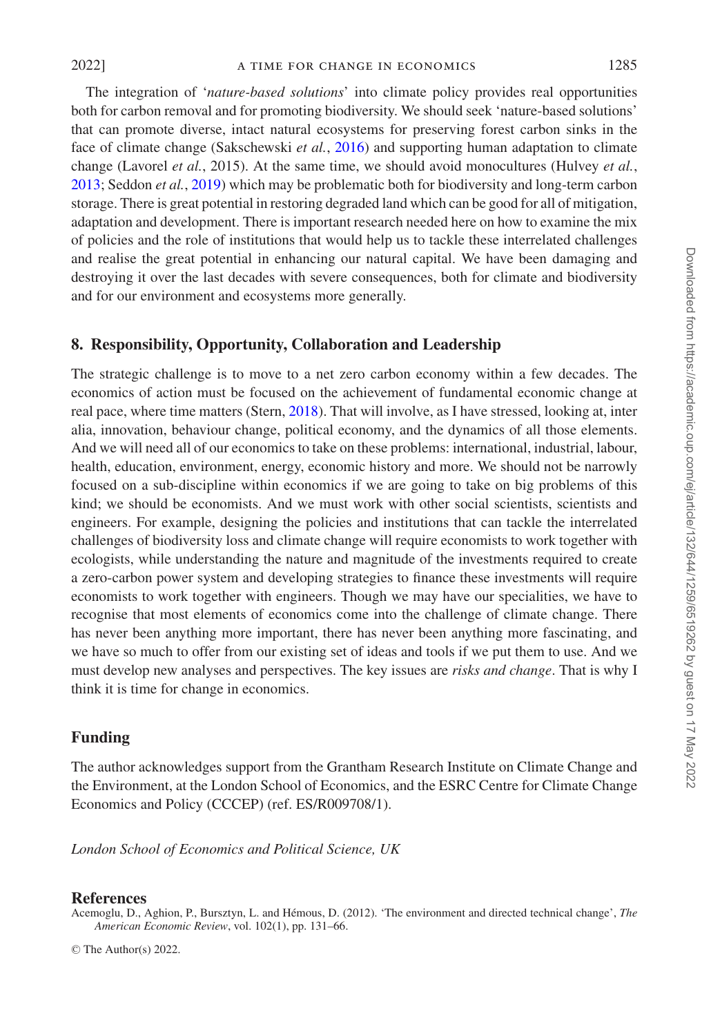The integration of '*nature-based solutions*' into climate policy provides real opportunities both for carbon removal and for promoting biodiversity. We should seek 'nature-based solutions' that can promote diverse, intact natural ecosystems for preserving forest carbon sinks in the face of climate change (Sakschewski *et al.*, [2016\)](#page-29-28) and supporting human adaptation to climate change (Lavorel *et al.*, 2015). At the same time, we should avoid monocultures (Hulvey *et al.*, [2013;](#page-28-30) Seddon *et al.*, [2019\)](#page-29-29) which may be problematic both for biodiversity and long-term carbon storage. There is great potential in restoring degraded land which can be good for all of mitigation, adaptation and development. There is important research needed here on how to examine the mix of policies and the role of institutions that would help us to tackle these interrelated challenges and realise the great potential in enhancing our natural capital. We have been damaging and destroying it over the last decades with severe consequences, both for climate and biodiversity and for our environment and ecosystems more generally.

## **8. Responsibility, Opportunity, Collaboration and Leadership**

The strategic challenge is to move to a net zero carbon economy within a few decades. The economics of action must be focused on the achievement of fundamental economic change at real pace, where time matters (Stern, [2018\)](#page-29-30). That will involve, as I have stressed, looking at, inter alia, innovation, behaviour change, political economy, and the dynamics of all those elements. And we will need all of our economics to take on these problems: international, industrial, labour, health, education, environment, energy, economic history and more. We should not be narrowly focused on a sub-discipline within economics if we are going to take on big problems of this kind; we should be economists. And we must work with other social scientists, scientists and engineers. For example, designing the policies and institutions that can tackle the interrelated challenges of biodiversity loss and climate change will require economists to work together with ecologists, while understanding the nature and magnitude of the investments required to create a zero-carbon power system and developing strategies to finance these investments will require economists to work together with engineers. Though we may have our specialities, we have to recognise that most elements of economics come into the challenge of climate change. There has never been anything more important, there has never been anything more fascinating, and we have so much to offer from our existing set of ideas and tools if we put them to use. And we must develop new analyses and perspectives. The key issues are *risks and change*. That is why I think it is time for change in economics.

#### **Funding**

The author acknowledges support from the Grantham Research Institute on Climate Change and the Environment, at the London School of Economics, and the ESRC Centre for Climate Change Economics and Policy (CCCEP) (ref. ES/R009708/1).

*London School of Economics and Political Science, UK*

## **References**

<span id="page-26-0"></span>Acemoglu, D., Aghion, P., Bursztyn, L. and Hémous, D. (2012). 'The environment and directed technical change', The *American Economic Review*, vol. 102(1), pp. 131–66.

© The Author(s) 2022.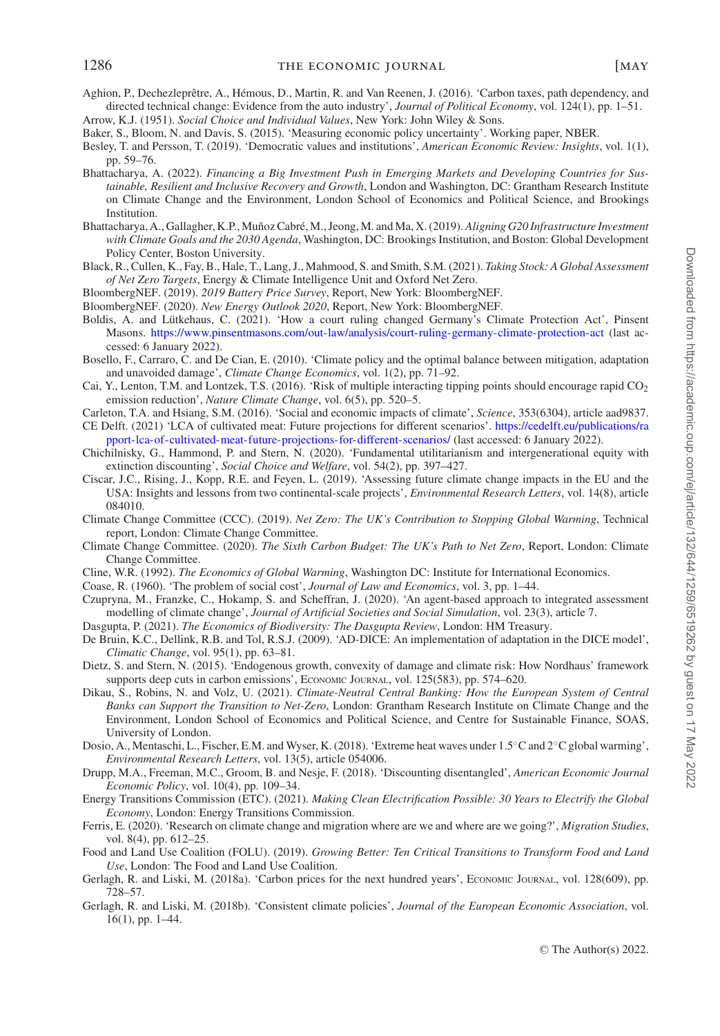- <span id="page-27-13"></span>Aghion, P., Dechezleprêtre, A., Hémous, D., Martin, R. and Van Reenen, J. (2016). 'Carbon taxes, path dependency, and directed technical change: Evidence from the auto industry', *Journal of Political Economy*, vol. 124(1), pp. 1–51. Arrow, K.J. (1951). *Social Choice and Individual Values*, New York: John Wiley & Sons.
- <span id="page-27-26"></span><span id="page-27-12"></span>Baker, S., Bloom, N. and Davis, S. (2015). 'Measuring economic policy uncertainty'. Working paper, NBER.
- <span id="page-27-30"></span>Besley, T. and Persson, T. (2019). 'Democratic values and institutions', *American Economic Review: Insights*, vol. 1(1), pp. 59–76.
- <span id="page-27-11"></span>Bhattacharya, A. (2022). *Financing a Big Investment Push in Emerging Markets and Developing Countries for Sustainable, Resilient and Inclusive Recovery and Growth*, London and Washington, DC: Grantham Research Institute on Climate Change and the Environment, London School of Economics and Political Science, and Brookings Institution.
- <span id="page-27-10"></span>Bhattacharya, A., Gallagher, K.P., Muñoz Cabré, M., Jeong, M. and Ma, X. (2019). Aligning G20 Infrastructure Investment *with Climate Goals and the 2030 Agenda*, Washington, DC: Brookings Institution, and Boston: Global Development Policy Center, Boston University.
- <span id="page-27-2"></span>Black, R., Cullen, K., Fay, B., Hale, T., Lang, J., Mahmood, S. and Smith, S.M. (2021). *Taking Stock: A Global Assessment of Net Zero Targets*, Energy & Climate Intelligence Unit and Oxford Net Zero.
- <span id="page-27-4"></span>BloombergNEF. (2019). *2019 Battery Price Survey*, Report, New York: BloombergNEF.
- <span id="page-27-8"></span>BloombergNEF. (2020). *New Energy Outlook 2020*, Report, New York: BloombergNEF.
- <span id="page-27-28"></span>Boldis, A. and Lütkehaus, C. (2021). 'How a court ruling changed Germany's Climate Protection Act', Pinsent Masons. <https://www.pinsentmasons.com/out-law/analysis/court-ruling-germany-climate-protection-act> (last accessed: 6 January 2022).
- <span id="page-27-19"></span>Bosello, F., Carraro, C. and De Cian, E. (2010). 'Climate policy and the optimal balance between mitigation, adaptation and unavoided damage', *Climate Change Economics*, vol. 1(2), pp. 71–92.
- <span id="page-27-22"></span>Cai, Y., Lenton, T.M. and Lontzek, T.S. (2016). 'Risk of multiple interacting tipping points should encourage rapid  $CO<sub>2</sub>$ emission reduction', *Nature Climate Change*, vol. 6(5), pp. 520–5.
- <span id="page-27-20"></span><span id="page-27-7"></span>Carleton, T.A. and Hsiang, S.M. (2016). 'Social and economic impacts of climate', *Science*, 353(6304), article aad9837. CE [Delft. \(2021\) 'LCA of cultivated meat: Future projections for different scenarios'.](https://cedelft.eu/publications/rapport-lca-of-cultivated-meat-future-projections-for-different-scenarios) https://cedelft.eu/publications/ra pport-lca-of-cultivated-meat-future-projections-for-different-scenarios/ (last accessed: 6 January 2022).
- <span id="page-27-27"></span>Chichilnisky, G., Hammond, P. and Stern, N. (2020). 'Fundamental utilitarianism and intergenerational equity with extinction discounting', *Social Choice and Welfare*, vol. 54(2), pp. 397–427.
- <span id="page-27-21"></span>Ciscar, J.C., Rising, J., Kopp, R.E. and Feyen, L. (2019). 'Assessing future climate change impacts in the EU and the USA: Insights and lessons from two continental-scale projects', *Environmental Research Letters*, vol. 14(8), article 084010.
- <span id="page-27-6"></span>Climate Change Committee (CCC). (2019). *Net Zero: The UK's Contribution to Stopping Global Warming*, Technical report, London: Climate Change Committee.
- <span id="page-27-5"></span>Climate Change Committee. (2020). *The Sixth Carbon Budget: The UK's Path to Net Zero*, Report, London: Climate Change Committee.
- <span id="page-27-15"></span>Cline, W.R. (1992). *The Economics of Global Warming*, Washington DC: Institute for International Economics.
- <span id="page-27-14"></span>Coase, R. (1960). 'The problem of social cost', *Journal of Law and Economics*, vol. 3, pp. 1–44.
- <span id="page-27-25"></span>Czupryna, M., Franzke, C., Hokamp, S. and Scheffran, J. (2020). 'An agent-based approach to integrated assessment modelling of climate change', *Journal of Artificial Societies and Social Simulation*, vol. 23(3), article 7.
- <span id="page-27-9"></span>Dasgupta, P. (2021). *The Economics of Biodiversity: The Dasgupta Review*, London: HM Treasury.
- <span id="page-27-18"></span>De Bruin, K.C., Dellink, R.B. and Tol, R.S.J. (2009). 'AD-DICE: An implementation of adaptation in the DICE model', *Climatic Change*, vol. 95(1), pp. 63–81.
- <span id="page-27-16"></span>Dietz, S. and Stern, N. (2015). 'Endogenous growth, convexity of damage and climate risk: How Nordhaus' framework supports deep cuts in carbon emissions', ECONOMIC JOURNAL, vol. 125(583), pp. 574–620.
- <span id="page-27-31"></span>Dikau, S., Robins, N. and Volz, U. (2021). *Climate-Neutral Central Banking: How the European System of Central Banks can Support the Transition to Net-Zero*, London: Grantham Research Institute on Climate Change and the Environment, London School of Economics and Political Science, and Centre for Sustainable Finance, SOAS, University of London.
- <span id="page-27-1"></span>Dosio, A., Mentaschi, L., Fischer, E.M. and Wyser, K. (2018). 'Extreme heat waves under 1.5◦C and 2◦C global warming', *Environmental Research Letters*, vol. 13(5), article 054006.
- <span id="page-27-17"></span>Drupp, M.A., Freeman, M.C., Groom, B. and Nesje, F. (2018). 'Discounting disentangled', *American Economic Journal Economic Policy*, vol. 10(4), pp. 109–34.
- <span id="page-27-3"></span>Energy Transitions Commission (ETC). (2021). *Making Clean Electrification Possible: 30 Years to Electrify the Global Economy*, London: Energy Transitions Commission.
- <span id="page-27-0"></span>Ferris, E. (2020). 'Research on climate change and migration where are we and where are we going?', *Migration Studies*, vol. 8(4), pp. 612–25.
- <span id="page-27-29"></span>Food and Land Use Coalition (FOLU). (2019). *Growing Better: Ten Critical Transitions to Transform Food and Land Use*, London: The Food and Land Use Coalition.
- <span id="page-27-23"></span>Gerlagh, R. and Liski, M. (2018a). 'Carbon prices for the next hundred years', ECONOMIC JOURNAL, vol. 128(609), pp. 728–57.
- <span id="page-27-24"></span>Gerlagh, R. and Liski, M. (2018b). 'Consistent climate policies', *Journal of the European Economic Association*, vol. 16(1), pp. 1–44.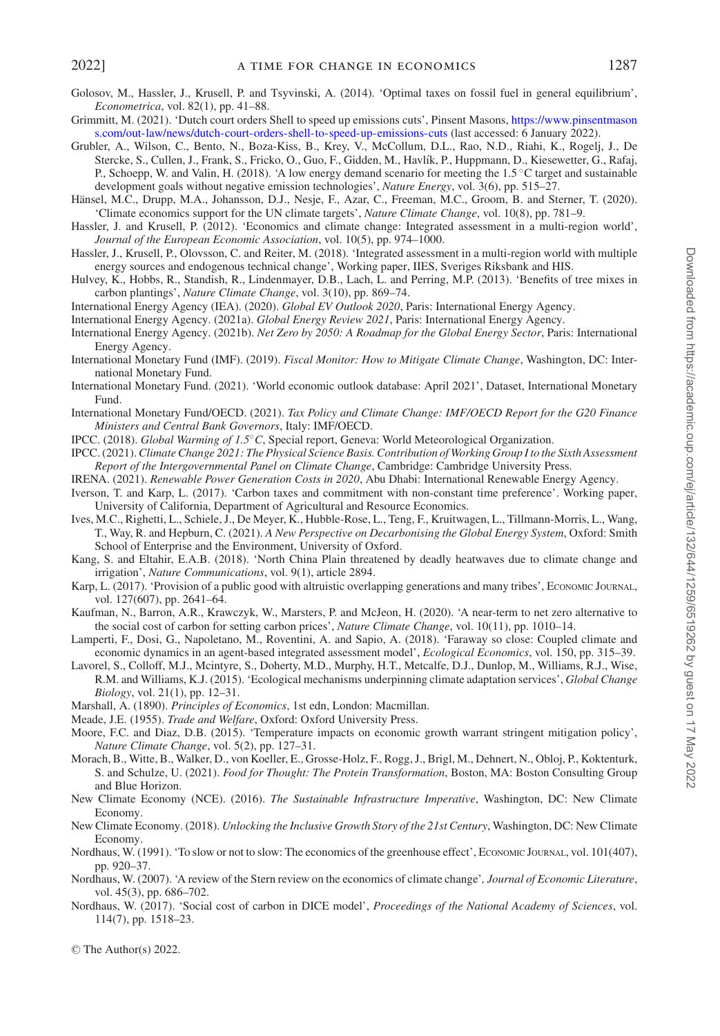- <span id="page-28-20"></span>Golosov, M., Hassler, J., Krusell, P. and Tsyvinski, A. (2014). 'Optimal taxes on fossil fuel in general equilibrium', *Econometrica*, vol. 82(1), pp. 41–88.
- <span id="page-28-29"></span>Gri[mmitt, M. \(2021\). 'Dutch court orders Shell to speed up emissions cuts', Pinsent Masons,](https://www.pinsentmasons.com/out-law/news/dutch-court-orders-shell-to-speed-up-emissions-cuts) https://www.pinsentmason s.com/out-law/news/dutch-court-orders-shell-to-speed-up-emissions-cuts (last accessed: 6 January 2022).

<span id="page-28-18"></span>Grubler, A., Wilson, C., Bento, N., Boza-Kiss, B., Krey, V., McCollum, D.L., Rao, N.D., Riahi, K., Rogelj, J., De Stercke, S., Cullen, J., Frank, S., Fricko, O., Guo, F., Gidden, M., Havlík, P., Huppmann, D., Kiesewetter, G., Rafaj, P., Schoepp, W. and Valin, H. (2018). 'A low energy demand scenario for meeting the 1.5 ◦C target and sustainable development goals without negative emission technologies', *Nature Energy*, vol. 3(6), pp. 515–27.

- <span id="page-28-16"></span>Hänsel, M.C., Drupp, M.A., Johansson, D.J., Nesje, F., Azar, C., Freeman, M.C., Groom, B. and Sterner, T. (2020). 'Climate economics support for the UN climate targets', *Nature Climate Change*, vol. 10(8), pp. 781–9.
- <span id="page-28-19"></span>Hassler, J. and Krusell, P. (2012). 'Economics and climate change: Integrated assessment in a multi-region world', *Journal of the European Economic Association*, vol. 10(5), pp. 974–1000.
- <span id="page-28-23"></span>Hassler, J., Krusell, P., Olovsson, C. and Reiter, M. (2018). 'Integrated assessment in a multi-region world with multiple energy sources and endogenous technical change', Working paper, IIES, Sveriges Riksbank and HIS.
- <span id="page-28-30"></span>Hulvey, K., Hobbs, R., Standish, R., Lindenmayer, D.B., Lach, L. and Perring, M.P. (2013). 'Benefits of tree mixes in carbon plantings', *Nature Climate Change*, vol. 3(10), pp. 869–74.

<span id="page-28-5"></span>International Energy Agency (IEA). (2020). *Global EV Outlook 2020*, Paris: International Energy Agency.

<span id="page-28-2"></span>International Energy Agency. (2021a). *Global Energy Review 2021*, Paris: International Energy Agency.

- <span id="page-28-7"></span>International Energy Agency. (2021b). *Net Zero by 2050: A Roadmap for the Global Energy Sector*, Paris: International Energy Agency.
- <span id="page-28-26"></span>International Monetary Fund (IMF). (2019). *Fiscal Monitor: How to Mitigate Climate Change*, Washington, DC: International Monetary Fund.

<span id="page-28-8"></span>International Monetary Fund. (2021). 'World economic outlook database: April 2021', Dataset, International Monetary Fund.

<span id="page-28-27"></span>International Monetary Fund/OECD. (2021). *Tax Policy and Climate Change: IMF/OECD Report for the G20 Finance Ministers and Central Bank Governors*, Italy: IMF/OECD.

<span id="page-28-11"></span>IPCC. (2018). *Global Warming of 1.5*◦*C*, Special report, Geneva: World Meteorological Organization.

- <span id="page-28-0"></span>IPCC. (2021).*Climate Change 2021: The Physical Science Basis. Contribution of Working Group I to the Sixth Assessment Report of the Intergovernmental Panel on Climate Change*, Cambridge: Cambridge University Press.
- <span id="page-28-4"></span>IRENA. (2021). *Renewable Power Generation Costs in 2020*, Abu Dhabi: International Renewable Energy Agency.
- <span id="page-28-21"></span>Iverson, T. and Karp, L. (2017). 'Carbon taxes and commitment with non-constant time preference'. Working paper, University of California, Department of Agricultural and Resource Economics.
- <span id="page-28-3"></span>Ives, M.C., Righetti, L., Schiele, J., De Meyer, K., Hubble-Rose, L., Teng, F., Kruitwagen, L., Tillmann-Morris, L., Wang, T., Way, R. and Hepburn, C. (2021). *A New Perspective on Decarbonising the Global Energy System*, Oxford: Smith School of Enterprise and the Environment, University of Oxford.

<span id="page-28-1"></span>Kang, S. and Eltahir, E.A.B. (2018). 'North China Plain threatened by deadly heatwaves due to climate change and irrigation', *Nature Communications*, vol. 9(1), article 2894.

- <span id="page-28-22"></span>Karp, L. (2017). 'Provision of a public good with altruistic overlapping generations and many tribes', ECONOMIC JOURNAL, vol. 127(607), pp. 2641–64.
- <span id="page-28-25"></span>Kaufman, N., Barron, A.R., Krawczyk, W., Marsters, P. and McJeon, H. (2020). 'A near-term to net zero alternative to the social cost of carbon for setting carbon prices', *Nature Climate Change*, vol. 10(11), pp. 1010–14.
- <span id="page-28-24"></span>Lamperti, F., Dosi, G., Napoletano, M., Roventini, A. and Sapio, A. (2018). 'Faraway so close: Coupled climate and economic dynamics in an agent-based integrated assessment model', *Ecological Economics*, vol. 150, pp. 315–39.
- Lavorel, S., Colloff, M.J., Mcintyre, S., Doherty, M.D., Murphy, H.T., Metcalfe, D.J., Dunlop, M., Williams, R.J., Wise, R.M. and Williams, K.J. (2015). 'Ecological mechanisms underpinning climate adaptation services', *Global Change Biology*, vol. 21(1), pp. 12–31.
- <span id="page-28-12"></span>Marshall, A. (1890). *Principles of Economics*, 1st edn, London: Macmillan.
- <span id="page-28-13"></span>Meade, J.E. (1955). *Trade and Welfare*, Oxford: Oxford University Press.

<span id="page-28-17"></span>Moore, F.C. and Diaz, D.B. (2015). 'Temperature impacts on economic growth warrant stringent mitigation policy', *Nature Climate Change*, vol. 5(2), pp. 127–31.

- <span id="page-28-6"></span>Morach, B., Witte, B., Walker, D., von Koeller, E., Grosse-Holz, F., Rogg, J., Brigl, M., Dehnert, N., Obloj, P., Koktenturk, S. and Schulze, U. (2021). *Food for Thought: The Protein Transformation*, Boston, MA: Boston Consulting Group and Blue Horizon.
- <span id="page-28-10"></span>New Climate Economy (NCE). (2016). *The Sustainable Infrastructure Imperative*, Washington, DC: New Climate Economy.
- <span id="page-28-9"></span>New Climate Economy. (2018). *Unlocking the Inclusive Growth Story of the 21st Century*, Washington, DC: New Climate Economy.
- <span id="page-28-14"></span>Nordhaus, W. (1991). 'To slow or not to slow: The economics of the greenhouse effect', ECONOMIC JOURNAL, vol. 101(407), pp. 920–37.
- <span id="page-28-28"></span>Nordhaus, W. (2007). 'A review of the Stern review on the economics of climate change'*, Journal of Economic Literature*, vol. 45(3), pp. 686–702.
- <span id="page-28-15"></span>Nordhaus, W. (2017). 'Social cost of carbon in DICE model', *Proceedings of the National Academy of Sciences*, vol. 114(7), pp. 1518–23.

© The Author(s) 2022.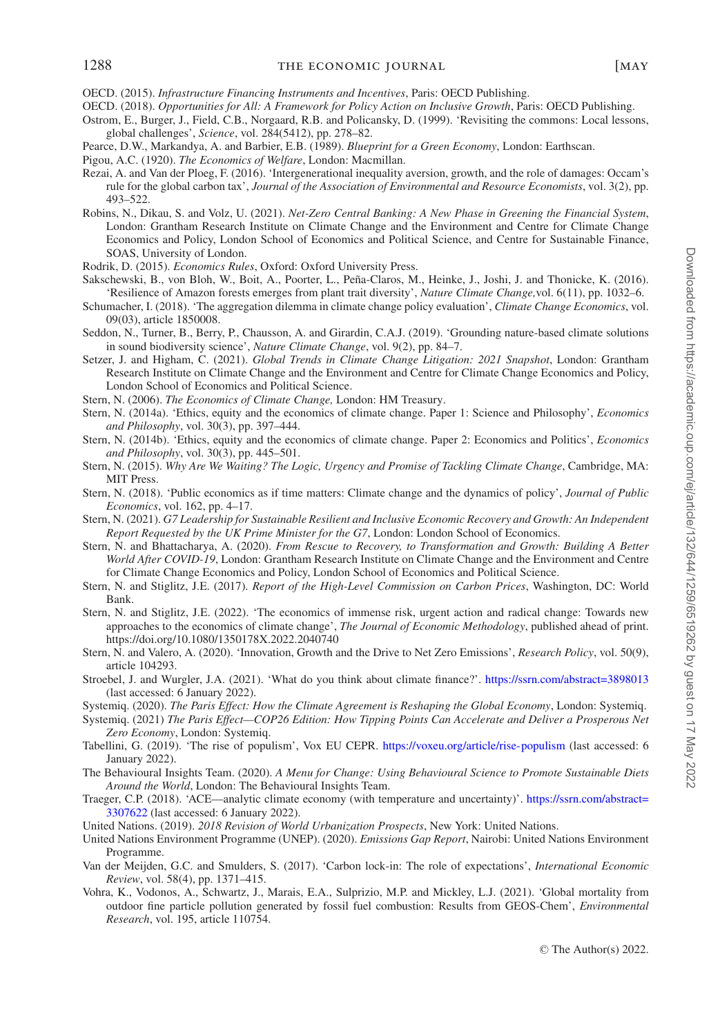<span id="page-29-10"></span>OECD. (2015). *Infrastructure Financing Instruments and Incentives*, Paris: OECD Publishing.

- <span id="page-29-8"></span>OECD. (2018). *Opportunities for All: A Framework for Policy Action on Inclusive Growth*, Paris: OECD Publishing.
- <span id="page-29-24"></span>Ostrom, E., Burger, J., Field, C.B., Norgaard, R.B. and Policansky, D. (1999). 'Revisiting the commons: Local lessons, global challenges', *Science*, vol. 284(5412), pp. 278–82.
- <span id="page-29-13"></span>Pearce, D.W., Markandya, A. and Barbier, E.B. (1989). *Blueprint for a Green Economy*, London: Earthscan.
- <span id="page-29-12"></span>Pigou, A.C. (1920). *The Economics of Welfare*, London: Macmillan.
- <span id="page-29-16"></span>Rezai, A. and Van der Ploeg, F. (2016). 'Intergenerational inequality aversion, growth, and the role of damages: Occam's rule for the global carbon tax', *Journal of the Association of Environmental and Resource Economists*, vol. 3(2), pp. 493–522.
- <span id="page-29-27"></span>Robins, N., Dikau, S. and Volz, U. (2021). *Net-Zero Central Banking: A New Phase in Greening the Financial System*, London: Grantham Research Institute on Climate Change and the Environment and Centre for Climate Change Economics and Policy, London School of Economics and Political Science, and Centre for Sustainable Finance, SOAS, University of London.
- <span id="page-29-18"></span>Rodrik, D. (2015). *Economics Rules*, Oxford: Oxford University Press.
- <span id="page-29-28"></span>Sakschewski, B., von Bloh, W., Boit, A., Poorter, L., Peña-Claros, M., Heinke, J., Joshi, J. and Thonicke, K. (2016). 'Resilience of Amazon forests emerges from plant trait diversity', *Nature Climate Change,*vol. 6(11), pp. 1032–6.
- <span id="page-29-14"></span>Schumacher, I. (2018). 'The aggregation dilemma in climate change policy evaluation', *Climate Change Economics*, vol. 09(03), article 1850008.
- <span id="page-29-29"></span>Seddon, N., Turner, B., Berry, P., Chausson, A. and Girardin, C.A.J. (2019). 'Grounding nature-based climate solutions in sound biodiversity science', *Nature Climate Change*, vol. 9(2), pp. 84–7.
- <span id="page-29-23"></span>Setzer, J. and Higham, C. (2021). *Global Trends in Climate Change Litigation: 2021 Snapshot*, London: Grantham Research Institute on Climate Change and the Environment and Centre for Climate Change Economics and Policy, London School of Economics and Political Science.
- <span id="page-29-2"></span>Stern, N. (2006). *The Economics of Climate Change,* London: HM Treasury.
- <span id="page-29-20"></span>Stern, N. (2014a). 'Ethics, equity and the economics of climate change. Paper 1: Science and Philosophy', *Economics and Philosophy*, vol. 30(3), pp. 397–444.
- <span id="page-29-21"></span>Stern, N. (2014b). 'Ethics, equity and the economics of climate change. Paper 2: Economics and Politics', *Economics and Philosophy*, vol. 30(3), pp. 445–501.
- <span id="page-29-7"></span>Stern, N. (2015). *Why Are We Waiting? The Logic, Urgency and Promise of Tackling Climate Change*, Cambridge, MA: MIT Press.
- <span id="page-29-30"></span>Stern, N. (2018). 'Public economics as if time matters: Climate change and the dynamics of policy', *Journal of Public Economics*, vol. 162, pp. 4–17.
- <span id="page-29-9"></span>Stern, N. (2021). *G7 Leadership for Sustainable Resilient and Inclusive Economic Recovery and Growth: An Independent Report Requested by the UK Prime Minister for the G7*, London: London School of Economics.
- <span id="page-29-5"></span>Stern, N. and Bhattacharya, A. (2020). *From Rescue to Recovery, to Transformation and Growth: Building A Better World After COVID-19*, London: Grantham Research Institute on Climate Change and the Environment and Centre for Climate Change Economics and Policy, London School of Economics and Political Science.
- <span id="page-29-19"></span>Stern, N. and Stiglitz, J.E. (2017). *Report of the High-Level Commission on Carbon Prices*, Washington, DC: World Bank.
- <span id="page-29-15"></span>Stern, N. and Stiglitz, J.E. (2022). 'The economics of immense risk, urgent action and radical change: Towards new approaches to the economics of climate change', *The Journal of Economic Methodology*, published ahead of print. https://doi.org/10.1080/1350178X.2022.2040740
- <span id="page-29-26"></span>Stern, N. and Valero, A. (2020). 'Innovation, Growth and the Drive to Net Zero Emissions', *Research Policy*, vol. 50(9), article 104293.
- <span id="page-29-22"></span>Stroebel, J. and Wurgler, J.A. (2021). 'What do you think about climate finance?'. <https://ssrn.com/abstract=3898013> (last accessed: 6 January 2022).
- <span id="page-29-3"></span>Systemiq. (2020). *The Paris Effect: How the Climate Agreement is Reshaping the Global Economy*, London: Systemiq.
- <span id="page-29-1"></span>Systemiq. (2021) *The Paris Effect—COP26 Edition: How Tipping Points Can Accelerate and Deliver a Prosperous Net Zero Economy*, London: Systemiq.
- <span id="page-29-6"></span>Tabellini, G. (2019). 'The rise of populism', Vox EU CEPR. <https://voxeu.org/article/rise-populism> (last accessed: 6 January 2022).
- <span id="page-29-25"></span>The Behavioural Insights Team. (2020). *A Menu for Change: Using Behavioural Science to Promote Sustainable Diets Around the World*, London: The Behavioural Insights Team.
- <span id="page-29-17"></span>Trae[ger, C.P. \(2018\). 'ACE—analytic climate economy \(with temperature and uncertainty\)'.](https://ssrn.com/abstract=3307622) https://ssrn.com/abstract= 3307622 (last accessed: 6 January 2022).
- United Nations. (2019). *2018 Revision of World Urbanization Prospects*, New York: United Nations.
- <span id="page-29-0"></span>United Nations Environment Programme (UNEP). (2020). *Emissions Gap Report*, Nairobi: United Nations Environment Programme.
- <span id="page-29-11"></span>Van der Meijden, G.C. and Smulders, S. (2017). 'Carbon lock-in: The role of expectations', *International Economic Review*, vol. 58(4), pp. 1371–415.
- <span id="page-29-4"></span>Vohra, K., Vodonos, A., Schwartz, J., Marais, E.A., Sulprizio, M.P. and Mickley, L.J. (2021). 'Global mortality from outdoor fine particle pollution generated by fossil fuel combustion: Results from GEOS-Chem', *Environmental Research*, vol. 195, article 110754.